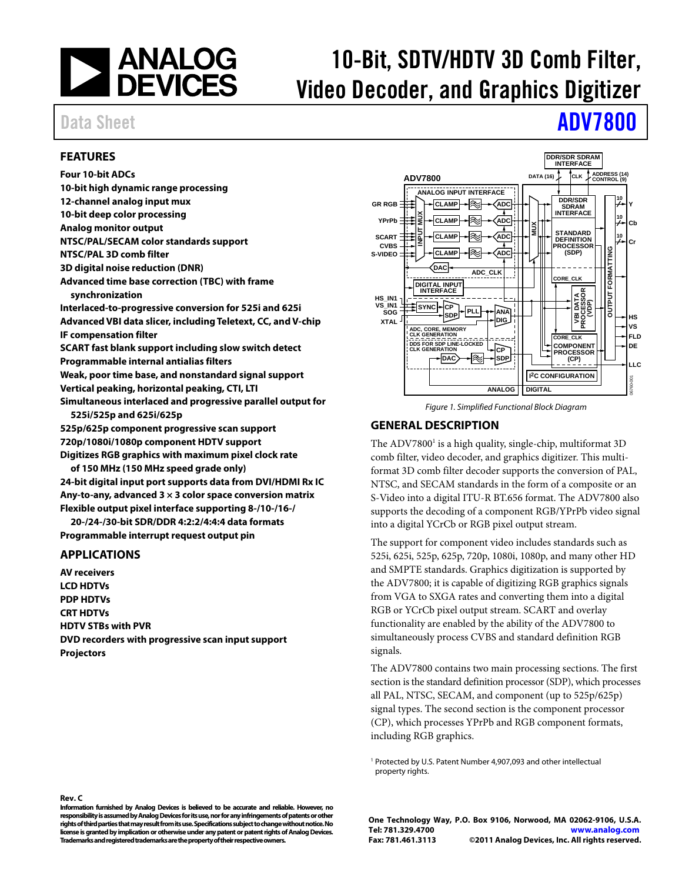

# 10-Bit, SDTV/HDTV 3D Comb Filter, Video Decoder, and Graphics Digitizer

# Data Sheet **[ADV7800](www.analog.com/ADV7800)**

### <span id="page-0-1"></span>**FEATURES**

**Four 10-bit ADCs 10-bit high dynamic range processing 12-channel analog input mux 10-bit deep color processing Analog monitor output NTSC/PAL/SECAM color standards support NTSC/PAL 3D comb filter 3D digital noise reduction (DNR) Advanced time base correction (TBC) with frame synchronization Interlaced-to-progressive conversion for 525i and 625i Advanced VBI data slicer, including Teletext, CC, and V-chip IF compensation filter SCART fast blank support including slow switch detect Programmable internal antialias filters Weak, poor time base, and nonstandard signal support Vertical peaking, horizontal peaking, CTI, LTI Simultaneous interlaced and progressive parallel output for 525i/525p and 625i/625p 525p/625p component progressive scan support 720p/1080i/1080p component HDTV support Digitizes RGB graphics with maximum pixel clock rate of 150 MHz (150 MHz speed grade only) 24-bit digital input port supports data from DVI/HDMI Rx IC Any-to-any, advanced 3 × 3 color space conversion matrix Flexible output pixel interface supporting 8-/10-/16-/** 

**20-/24-/30-bit SDR/DDR 4:2:2/4:4:4 data formats Programmable interrupt request output pin** 

### <span id="page-0-2"></span>**APPLICATIONS**

<span id="page-0-0"></span>**Rev. C** 

**AV receivers LCD HDTVs PDP HDTVs CRT HDTVs HDTV STBs with PVR DVD recorders with progressive scan input support Projectors** 



Figure 1. Simplified Functional Block Diagram

### <span id="page-0-3"></span>**GENERAL DESCRIPTION**

The ADV7800<sup>1</sup> is a high quality, single-chip, multiformat 3D comb filter, video decoder, and graphics digitizer. This multiformat 3D comb filter decoder supports the conversion of PAL, NTSC, and SECAM standards in the form of a composite or an S-Video into a digital ITU-R BT.656 format. The ADV7800 also supports the decoding of a component RGB/YPrPb video signal into a digital YCrCb or RGB pixel output stream.

The support for component video includes standards such as 525i, 625i, 525p, 625p, 720p, 1080i, 1080p, and many other HD and SMPTE standards. Graphics digitization is supported by the ADV7800; it is capable of digitizing RGB graphics signals from VGA to SXGA rates and converting them into a digital RGB or YCrCb pixel output stream. SCART and overlay functionality are enabled by the ability of the ADV7800 to simultaneously process CVBS and standard definition RGB signals.

The ADV7800 contains two main processing sections. The first section is the standard definition processor (SDP), which processes all PAL, NTSC, SECAM, and component (up to 525p/625p) signal types. The second section is the component processor (CP), which processes YPrPb and RGB component formats, including RGB graphics.

1 Protected by U.S. Patent Number 4,907,093 and other intellectual property rights.

**Information furnished by Analog Devices is believed to be accurate and reliable. However, no responsibility is assumed by Analog Devices for its use, nor for any infringements of patents or other rights of third parties that may result from its use. Specifications subject to change without notice. No license is granted by implication or otherwise under any patent or patent rights of Analog Devices. Trademarks and registered trademarks are the property of their respective owners.** 

**One Technology Way, P.O. Box 9106, Norwood, MA 02062-9106, U.S.A. Tel: 781.329.4700 [www.analog.com](http://www.analog.com/) Fax: 781.461.3113 ©2011 Analog Devices, Inc. All rights reserved.**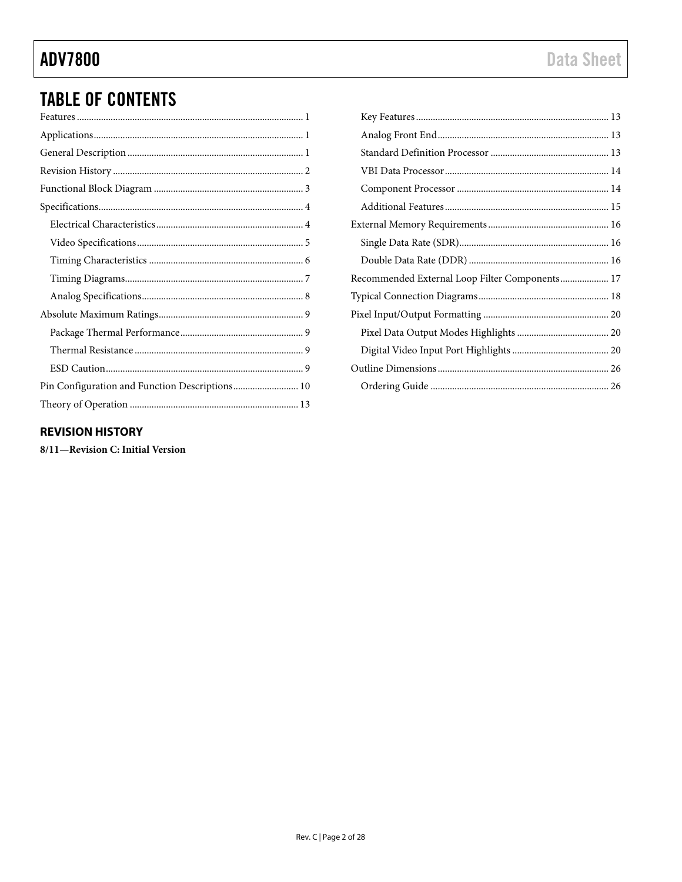## **ADV7800**

## **TABLE OF CONTENTS**

| Pin Configuration and Function Descriptions 10 |
|------------------------------------------------|
|                                                |

| Recommended External Loop Filter Components 17 |  |
|------------------------------------------------|--|
|                                                |  |
|                                                |  |
|                                                |  |
|                                                |  |
|                                                |  |
|                                                |  |
|                                                |  |

### <span id="page-1-0"></span>**REVISION HISTORY**

8/11-Revision C: Initial Version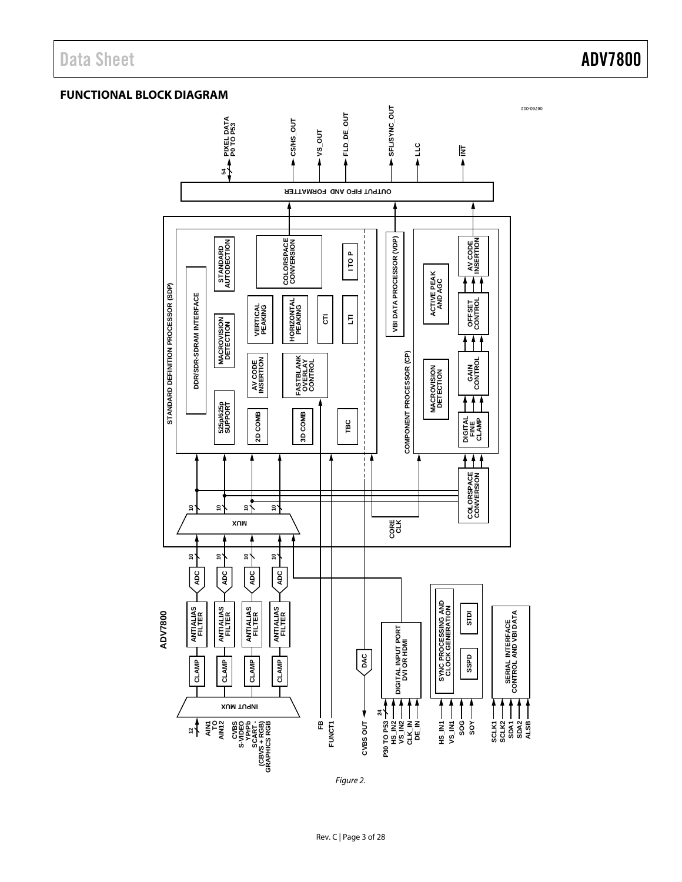Data Sheet **ADV7800** 

### <span id="page-2-0"></span>**FUNCTIONAL BLOCK DIAGRAM**



Figure 2.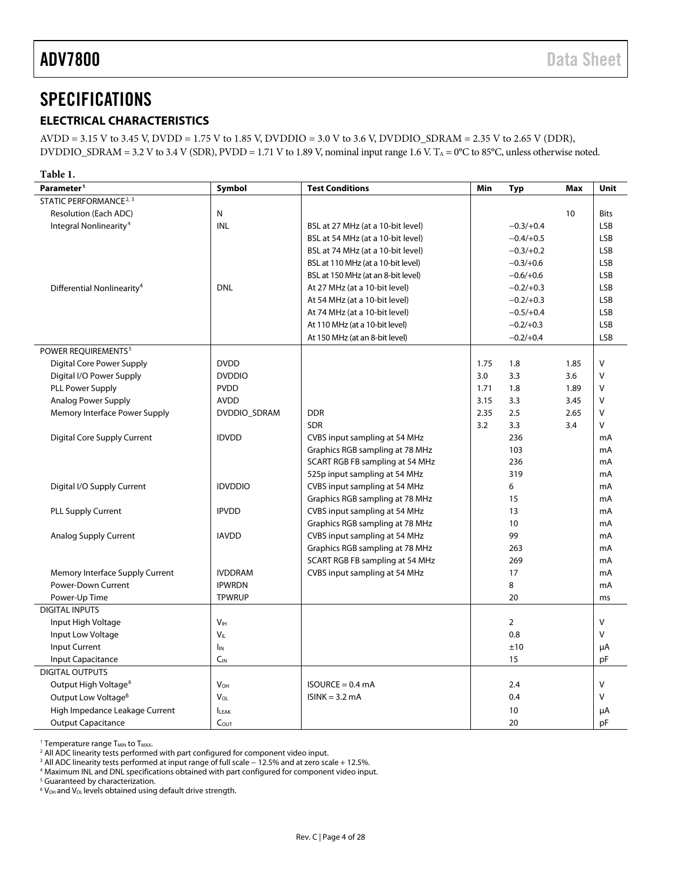## <span id="page-3-0"></span>SPECIFICATIONS

### <span id="page-3-1"></span>**ELECTRICAL CHARACTERISTICS**

AVDD = 3.15 V to 3.45 V, DVDD = 1.75 V to 1.85 V, DVDDIO = 3.0 V to 3.6 V, DVDDIO\_SDRAM = 2.35 V to 2.65 V (DDR), DVDDIO\_SDRAM = 3.2 V to 3.4 V (SDR), PVDD = 1.71 V to 1.89 V, nominal input range 1.6 V. T<sub>A</sub> = 0°C to 85°C, unless otherwise noted.

**Table 1. Parameter1 Symbol Test Conditions Min Typ Max Unit** STATIC PERFORMANCE<sup>2, 3</sup> Resolution (Each ADC) N 10 Bits Integral Nonlinearity4 INL BSL at 27 MHz (at a 10-bit level) −0.3/+0.4 LSB BSL at 54 MHz (at a 10-bit level)  $-0.4/+0.5$  LSB BSL at 74 MHz (at a 10-bit level)  $-0.3/+0.2$  LSB BSL at 110 MHz (at a 10-bit level)  $-0.3/0.6$  LSB BSL at 150 MHz (at an 8-bit level)  $-0.6/+0.6$  LSB Differential Nonlinearity<sup>4</sup> DNL At 27 MHz (at a 10-bit level) −0.2/+0.3 LSB At 54 MHz (at a 10-bit level) −0.2/+0.3 LSB At 74 MHz (at a 10-bit level) − 0.5/+0.4 LSB At 110 MHz (at a 10-bit level) − 0.2/+0.3 LSB At 150 MHz (at an 8-bit level) − 0.2/+0.4 LSB POWER REQUIREMENTS<sup>5</sup> Digital Core Power Supply 2.0 | DVDD 2.0 | 2.75 1.8 | V | 1.75 1.8 | V | 1.75 1.85 | V Digital I/O Power Supply DVDDIO 3.0 3.3 3.6 V PLL Power Supply PVDD 1.71 1.8 1.89 V Analog Power Supply 2.45 November 2.5 AVDD November 2.5 3.3 3.45 November 2.5 3.45 November 2.5 3.45 November 2 Memory Interface Power Supply | DVDDIO\_SDRAM | DDR 2.35 2.5 2.65 V SDR 3.2 3.3 3.4 V Digital Core Supply Current The IDVDD CVBS input sampling at 54 MHz 236 236 mA Graphics RGB sampling at 78 MHz 103 mA SCART RGB FB sampling at 54 MHz 236 and 236 mA 525p input sampling at 54 MHz  $\qquad \qquad$  319  $\qquad \qquad$  mA Digital I/O Supply Current **IDVDDIO** CUBS input sampling at 54 MHz 6 mA Graphics RGB sampling at 78 MHz 15 15 mA PLL Supply Current **IPVDD** CVBS input sampling at 54 MHz 13 mA Graphics RGB sampling at 78 MHz 10 10 mA Analog Supply Current **IAVDD** CUBS input sampling at 54 MHz 99 mA Graphics RGB sampling at 78 MHz 263 SCART RGB FB sampling at 54 MHz 269 2008 mA Memory Interface Supply Current | IVDDRAM | CVBS input sampling at 54 MHz 17 17 | mA Power-Down Current IPWRDN 8 mA Power-Up Time TPWRUP 20 ms DIGITAL INPUTS المال المسابق التي يتم التي تعليم التي تعليم التي تعليم التي تعليم التي تعليم التي تعليم التي تعليم التي تعليم<br>التي تعليم التي تعليم التي تعليم التي تعليم التي تعليم التي تعليم التي تعليم التي تعليم التي تعليم التي تعليم Input Low Voltage Service Service Village VID Village Service Service Service Service Service Service Service S Input Current IIN ±10 µA Input Capacitance **CIN 15** pF DIGITAL OUTPUTS Output High Voltage<sup>6</sup> No<sub>H</sub> V<sub>OH</sub> V<sub>OH</sub> ISOURCE = 0.4 mA 2.4 2.4 V Output Low Voltage<sup>6</sup> 8 V<sub>OL</sub> V<sub>OL</sub> ISINK = 3.2 mA 0.4 0.4 V High Impedance Leakage Current | I<sub>LEAK</sub> 10 10 μA Output Capacitance **COUT** C<sub>OUT</sub> C<sub>OUT</sub> 20 pF

<sup>1</sup> Temperature range  $T_{MIN}$  to  $T_{MAX}$ .

<sup>4</sup> Maximum INL and DNL specifications obtained with part configured for component video input.

<sup>5</sup> Guaranteed by characterization.

 $6$  V<sub>OH</sub> and V<sub>OL</sub> levels obtained using default drive strength.

<sup>&</sup>lt;sup>2</sup> All ADC linearity tests performed with part configured for component video input.

<sup>3</sup> All ADC linearity tests performed at input range of full scale − 12.5% and at zero scale + 12.5%.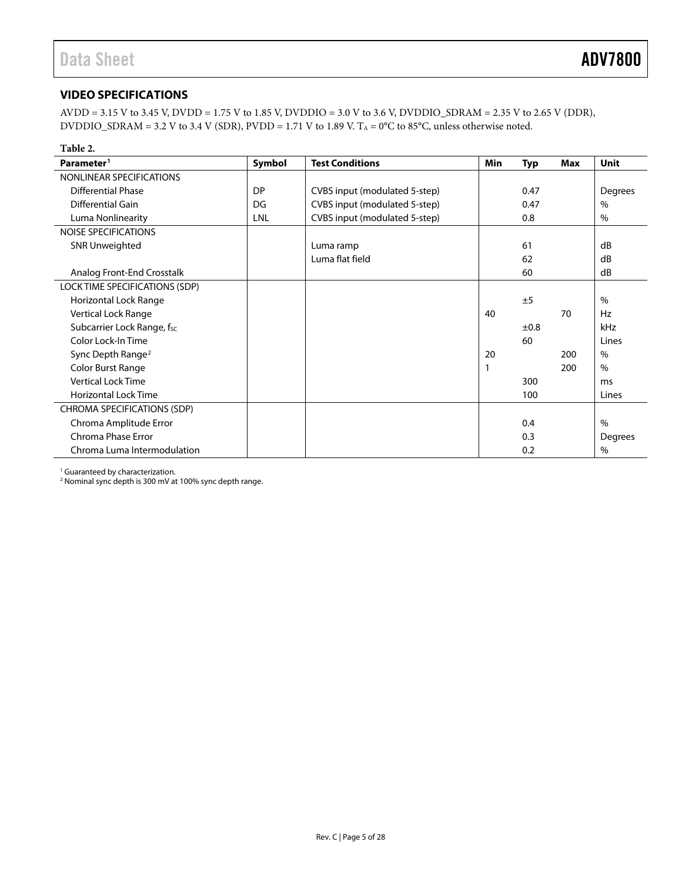### <span id="page-4-0"></span>**VIDEO SPECIFICATIONS**

AVDD = 3.15 V to 3.45 V, DVDD = 1.75 V to 1.85 V, DVDDIO = 3.0 V to 3.6 V, DVDDIO\_SDRAM = 2.35 V to 2.65 V (DDR), DVDDIO\_SDRAM = 3.2 V to 3.4 V (SDR), PVDD = 1.71 V to 1.89 V. T<sub>A</sub> = 0°C to 85°C, unless otherwise noted.

| Table 2.                       |           |                               |     |            |            |                |
|--------------------------------|-----------|-------------------------------|-----|------------|------------|----------------|
| Parameter <sup>1</sup>         | Symbol    | <b>Test Conditions</b>        | Min | <b>Typ</b> | <b>Max</b> | Unit           |
| NONLINEAR SPECIFICATIONS       |           |                               |     |            |            |                |
| <b>Differential Phase</b>      | <b>DP</b> | CVBS input (modulated 5-step) |     | 0.47       |            | <b>Degrees</b> |
| <b>Differential Gain</b>       | DG        | CVBS input (modulated 5-step) |     | 0.47       |            | $\%$           |
| Luma Nonlinearity              | LNL       | CVBS input (modulated 5-step) |     | 0.8        |            | $\frac{0}{0}$  |
| NOISE SPECIFICATIONS           |           |                               |     |            |            |                |
| <b>SNR Unweighted</b>          |           | Luma ramp                     |     | 61         |            | dB             |
|                                |           | Luma flat field               |     | 62         |            | dB             |
| Analog Front-End Crosstalk     |           |                               |     | 60         |            | dB             |
| LOCK TIME SPECIFICATIONS (SDP) |           |                               |     |            |            |                |
| <b>Horizontal Lock Range</b>   |           |                               |     | ±5         |            | $\%$           |
| Vertical Lock Range            |           |                               | 40  |            | 70         | Hz             |
| Subcarrier Lock Range, fsc     |           |                               |     | ±0.8       |            | kHz            |
| Color Lock-In Time             |           |                               |     | 60         |            | Lines          |
| Sync Depth Range <sup>2</sup>  |           |                               | 20  |            | 200        | $\frac{0}{0}$  |
| Color Burst Range              |           |                               |     |            | 200        | $\%$           |
| <b>Vertical Lock Time</b>      |           |                               |     | 300        |            | ms             |
| <b>Horizontal Lock Time</b>    |           |                               |     | 100        |            | Lines          |
| CHROMA SPECIFICATIONS (SDP)    |           |                               |     |            |            |                |
| Chroma Amplitude Error         |           |                               |     | 0.4        |            | $\%$           |
| Chroma Phase Error             |           |                               |     | 0.3        |            | Degrees        |
| Chroma Luma Intermodulation    |           |                               |     | 0.2        |            | $\%$           |

<sup>1</sup> Guaranteed by characterization.

<sup>2</sup> Nominal sync depth is 300 mV at 100% sync depth range.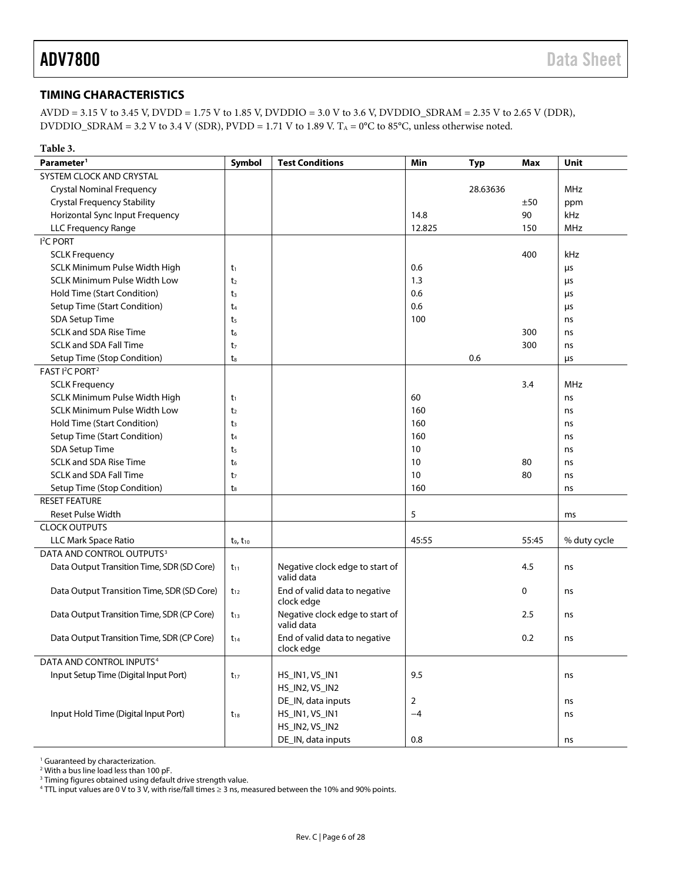### <span id="page-5-0"></span>**TIMING CHARACTERISTICS**

AVDD = 3.15 V to 3.45 V, DVDD = 1.75 V to 1.85 V, DVDDIO = 3.0 V to 3.6 V, DVDDIO\_SDRAM = 2.35 V to 2.65 V (DDR), DVDDIO\_SDRAM = 3.2 V to 3.4 V (SDR), PVDD = 1.71 V to 1.89 V. T<sub>A</sub> = 0°C to 85°C, unless otherwise noted.

| Table 3.                                   |                  |                                               |                |            |       |              |
|--------------------------------------------|------------------|-----------------------------------------------|----------------|------------|-------|--------------|
| Parameter <sup>1</sup>                     | <b>Symbol</b>    | <b>Test Conditions</b>                        | Min            | <b>Typ</b> | Max   | Unit         |
| SYSTEM CLOCK AND CRYSTAL                   |                  |                                               |                |            |       |              |
| <b>Crystal Nominal Frequency</b>           |                  |                                               |                | 28.63636   |       | <b>MHz</b>   |
| <b>Crystal Frequency Stability</b>         |                  |                                               |                |            | ±50   | ppm          |
| Horizontal Sync Input Frequency            |                  |                                               | 14.8           |            | 90    | kHz          |
| <b>LLC Frequency Range</b>                 |                  |                                               | 12.825         |            | 150   | MHz          |
| I <sup>2</sup> C PORT                      |                  |                                               |                |            |       |              |
| <b>SCLK Frequency</b>                      |                  |                                               |                |            | 400   | kHz          |
| SCLK Minimum Pulse Width High              | t1               |                                               | 0.6            |            |       | μs           |
| <b>SCLK Minimum Pulse Width Low</b>        | t <sub>2</sub>   |                                               | 1.3            |            |       | μs           |
| Hold Time (Start Condition)                | $t_3$            |                                               | 0.6            |            |       | μs           |
| Setup Time (Start Condition)               | t4               |                                               | 0.6            |            |       | μs           |
| <b>SDA Setup Time</b>                      | t <sub>5</sub>   |                                               | 100            |            |       | ns           |
| <b>SCLK and SDA Rise Time</b>              | t <sub>6</sub>   |                                               |                |            | 300   | ns           |
| <b>SCLK and SDA Fall Time</b>              | t <sub>7</sub>   |                                               |                |            | 300   | ns           |
| Setup Time (Stop Condition)                | t.               |                                               |                | 0.6        |       | μs           |
| FAST I <sup>2</sup> C PORT <sup>2</sup>    |                  |                                               |                |            |       |              |
| <b>SCLK Frequency</b>                      |                  |                                               |                |            | 3.4   | <b>MHz</b>   |
| <b>SCLK Minimum Pulse Width High</b>       | t1               |                                               | 60             |            |       | ns           |
| <b>SCLK Minimum Pulse Width Low</b>        | t <sub>2</sub>   |                                               | 160            |            |       | ns           |
| Hold Time (Start Condition)                | $t_3$            |                                               | 160            |            |       | ns           |
| <b>Setup Time (Start Condition)</b>        | t <sub>4</sub>   |                                               | 160            |            |       | ns           |
| <b>SDA Setup Time</b>                      | t <sub>5</sub>   |                                               | 10             |            |       | ns           |
| <b>SCLK and SDA Rise Time</b>              | t <sub>6</sub>   |                                               | 10             |            | 80    | ns           |
| <b>SCLK and SDA Fall Time</b>              | t7               |                                               | 10             |            | 80    | ns           |
| Setup Time (Stop Condition)                | $t_{8}$          |                                               | 160            |            |       | ns           |
| <b>RESET FEATURE</b>                       |                  |                                               |                |            |       |              |
| <b>Reset Pulse Width</b>                   |                  |                                               | 5              |            |       | ms           |
| <b>CLOCK OUTPUTS</b>                       |                  |                                               |                |            |       |              |
| LLC Mark Space Ratio                       | $t_9$ , $t_{10}$ |                                               | 45:55          |            | 55:45 | % duty cycle |
| DATA AND CONTROL OUTPUTS <sup>3</sup>      |                  |                                               |                |            |       |              |
| Data Output Transition Time, SDR (SD Core) | $t_{11}$         | Negative clock edge to start of<br>valid data |                |            | 4.5   | ns           |
| Data Output Transition Time, SDR (SD Core) | $t_{12}$         | End of valid data to negative<br>clock edge   |                |            | 0     | ns           |
| Data Output Transition Time, SDR (CP Core) | $t_{13}$         | Negative clock edge to start of<br>valid data |                |            | 2.5   | ns           |
| Data Output Transition Time, SDR (CP Core) | $t_{14}$         | End of valid data to negative<br>clock edge   |                |            | 0.2   | ns           |
| DATA AND CONTROL INPUTS <sup>4</sup>       |                  |                                               |                |            |       |              |
| Input Setup Time (Digital Input Port)      | $t_{17}$         | HS_IN1, VS_IN1                                | 9.5            |            |       | ns           |
|                                            |                  | HS_IN2, VS_IN2                                |                |            |       |              |
|                                            |                  | DE_IN, data inputs                            | $\overline{2}$ |            |       | ns           |
| Input Hold Time (Digital Input Port)       | $t_{18}$         | HS_IN1, VS_IN1                                | $-4$           |            |       | ns           |
|                                            |                  | HS_IN2, VS_IN2                                |                |            |       |              |
|                                            |                  | DE_IN, data inputs                            | 0.8            |            |       | ns           |

<sup>1</sup> Guaranteed by characterization.

<span id="page-5-1"></span><sup>2</sup> With a bus line load less than 100 pF.

<sup>3</sup> Timing figures obtained using default drive strength value.

<sup>4</sup> TTL input values are 0 V to 3 V, with rise/fall times ≥ 3 ns, measured between the 10% and 90% points.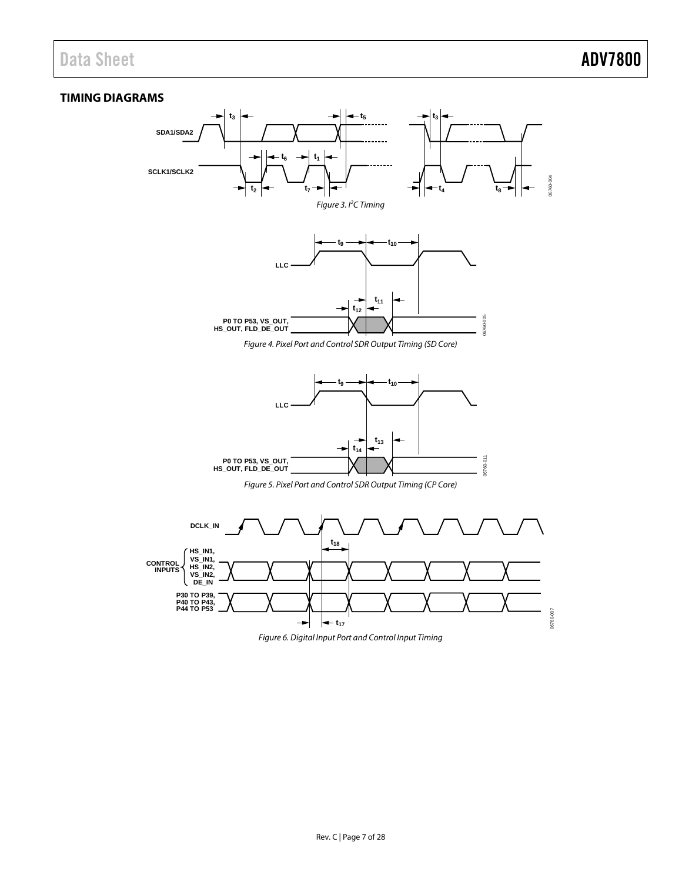### <span id="page-6-0"></span>**TIMING DIAGRAMS**

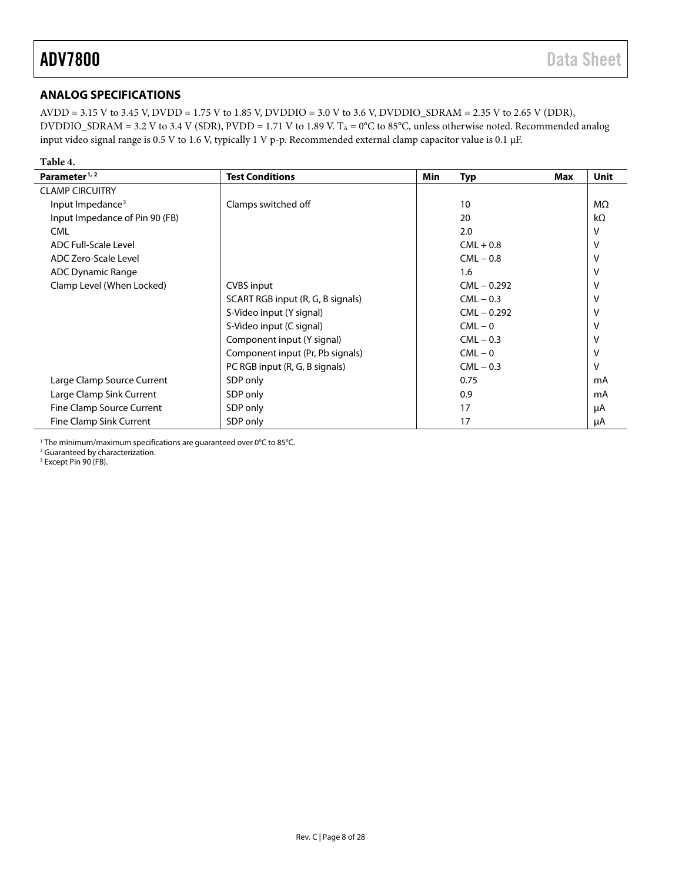### <span id="page-7-0"></span>**ANALOG SPECIFICATIONS**

AVDD = 3.15 V to 3.45 V, DVDD = 1.75 V to 1.85 V, DVDDIO = 3.0 V to 3.6 V, DVDDIO\_SDRAM = 2.35 V to 2.65 V (DDR), DVDDIO\_SDRAM = 3.2 V to 3.4 V (SDR), PVDD = 1.71 V to 1.89 V. T<sub>A</sub> = 0°C to 85°C, unless otherwise noted. Recommended analog input video signal range is 0.5 V to 1.6 V, typically 1 V p-p. Recommended external clamp capacitor value is 0.1 μF.

### **Table 4.**

| Parameter <sup>1, 2</sup>      | <b>Test Conditions</b>            | <b>Min</b> | Typ<br>Max    | <b>Unit</b> |
|--------------------------------|-----------------------------------|------------|---------------|-------------|
| <b>CLAMP CIRCUITRY</b>         |                                   |            |               |             |
| Input Impedance <sup>3</sup>   | Clamps switched off               |            | 10            | MΩ          |
| Input Impedance of Pin 90 (FB) |                                   |            | 20            | $k\Omega$   |
| <b>CML</b>                     |                                   |            | 2.0           | v           |
| ADC Full-Scale Level           |                                   |            | $CML + 0.8$   | v           |
| ADC Zero-Scale Level           |                                   |            | $CML - 0.8$   | ν           |
| <b>ADC Dynamic Range</b>       |                                   |            | 1.6           | ν           |
| Clamp Level (When Locked)      | <b>CVBS</b> input                 |            | $CML - 0.292$ | v           |
|                                | SCART RGB input (R, G, B signals) |            | $CML - 0.3$   | v           |
|                                | S-Video input (Y signal)          |            | $CML - 0.292$ | v           |
|                                | S-Video input (C signal)          |            | $CML - 0$     |             |
|                                | Component input (Y signal)        |            | $CML - 0.3$   |             |
|                                | Component input (Pr, Pb signals)  |            | $CML - 0$     | ν           |
|                                | PC RGB input (R, G, B signals)    |            | $CML - 0.3$   | v           |
| Large Clamp Source Current     | SDP only                          |            | 0.75          | mA          |
| Large Clamp Sink Current       | SDP only                          |            | 0.9           | mA          |
| Fine Clamp Source Current      | SDP only                          |            | 17            | μA          |
| Fine Clamp Sink Current        | SDP only                          |            | 17            | μA          |

<sup>1</sup> The minimum/maximum specifications are guaranteed over 0°C to 85°C.

<sup>2</sup> Guaranteed by characterization.

<sup>3</sup> Except Pin 90 (FB).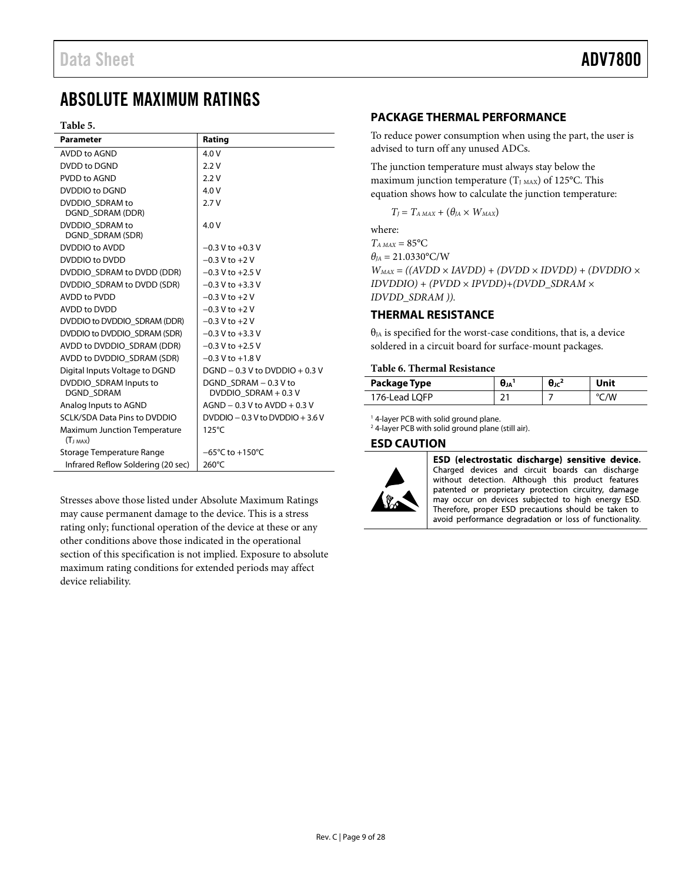## <span id="page-8-0"></span>ABSOLUTE MAXIMUM RATINGS

### **Table 5.**

| <b>Parameter</b>                                     | Rating                                        |
|------------------------------------------------------|-----------------------------------------------|
| AVDD to AGND                                         | 4.0 V                                         |
| DVDD to DGND                                         | 2.2V                                          |
| PVDD to AGND                                         | 2.2V                                          |
| DVDDIO to DGND                                       | 4.0V                                          |
| DVDDIO SDRAM to<br>DGND SDRAM (DDR)                  | 2.7V                                          |
| DVDDIO SDRAM to<br>DGND_SDRAM (SDR)                  | 4.0V                                          |
| DVDDIO to AVDD                                       | $-0.3$ V to $+0.3$ V                          |
| DVDDIO to DVDD                                       | $-0.3$ V to $+2$ V                            |
| DVDDIO SDRAM to DVDD (DDR)                           | $-0.3$ V to $+2.5$ V                          |
| DVDDIO SDRAM to DVDD (SDR)                           | $-0.3$ V to $+3.3$ V                          |
| <b>AVDD to PVDD</b>                                  | $-0.3$ V to $+2$ V                            |
| AVDD to DVDD                                         | $-0.3 V$ to $+2 V$                            |
| DVDDIO to DVDDIO SDRAM (DDR)                         | $-0.3$ V to $+2$ V                            |
| DVDDIO to DVDDIO SDRAM (SDR)                         | $-0.3$ V to $+3.3$ V                          |
| AVDD to DVDDIO SDRAM (DDR)                           | $-0.3$ V to $+2.5$ V                          |
| AVDD to DVDDIO SDRAM (SDR)                           | $-0.3 V$ to $+1.8 V$                          |
| Digital Inputs Voltage to DGND                       | $DGND - 0.3 V$ to $DVDDO + 0.3 V$             |
| DVDDIO SDRAM Inputs to<br><b>DGND SDRAM</b>          | DGND SDRAM - 0.3 V to<br>DVDDIO SDRAM + 0.3 V |
| Analog Inputs to AGND                                | $AGND - 0.3 V$ to $AVDD + 0.3 V$              |
| <b>SCLK/SDA Data Pins to DVDDIO</b>                  | DVDDIO $-0.3$ V to DVDDIO $+3.6$ V            |
| <b>Maximum Junction Temperature</b><br>$(T_{J MAX})$ | $125^{\circ}$ C                               |
| Storage Temperature Range                            | $-65^{\circ}$ C to $+150^{\circ}$ C           |
| Infrared Reflow Soldering (20 sec)                   | 260°C                                         |

Stresses above those listed under Absolute Maximum Ratings may cause permanent damage to the device. This is a stress rating only; functional operation of the device at these or any other conditions above those indicated in the operational section of this specification is not implied. Exposure to absolute maximum rating conditions for extended periods may affect device reliability.

### <span id="page-8-1"></span>**PACKAGE THERMAL PERFORMANCE**

To reduce power consumption when using the part, the user is advised to turn off any unused ADCs.

The junction temperature must always stay below the maximum junction temperature  $(T_{J MAX})$  of 125°C. This equation shows how to calculate the junction temperature:

 $T_J = T_{A MAX} + (\theta_{JA} \times W_{MAX})$ 

where:  $T_{A MAX} = 85$ °C  $\theta_{IA} = 21.0330$ °C/W  $W_{MAX} = ((AVDD \times IAVDD) + (DVDD \times IDVDD) + (DVDDO \times$ *IDVDDIO) + (PVDD × IPVDD)+(DVDD\_SDRAM × IDVDD\_SDRAM )).*

### <span id="page-8-2"></span>**THERMAL RESISTANCE**

 $\theta_{JA}$  is specified for the worst-case conditions, that is, a device soldered in a circuit board for surface-mount packages.

### **Table 6. Thermal Resistance**

| Package Type  | Uја      | н. . | Unit |
|---------------|----------|------|------|
| 176-Lead LOFP | <b>.</b> |      | 'W   |

<sup>1</sup> 4-layer PCB with solid ground plane.

<sup>2</sup> 4-layer PCB with solid ground plane (still air).

### <span id="page-8-3"></span>**ESD CAUTION**



ESD (electrostatic discharge) sensitive device. Charged devices and circuit boards can discharge without detection. Although this product features patented or proprietary protection circuitry, damage may occur on devices subjected to high energy ESD. Therefore, proper ESD precautions should be taken to avoid performance degradation or loss of functionality.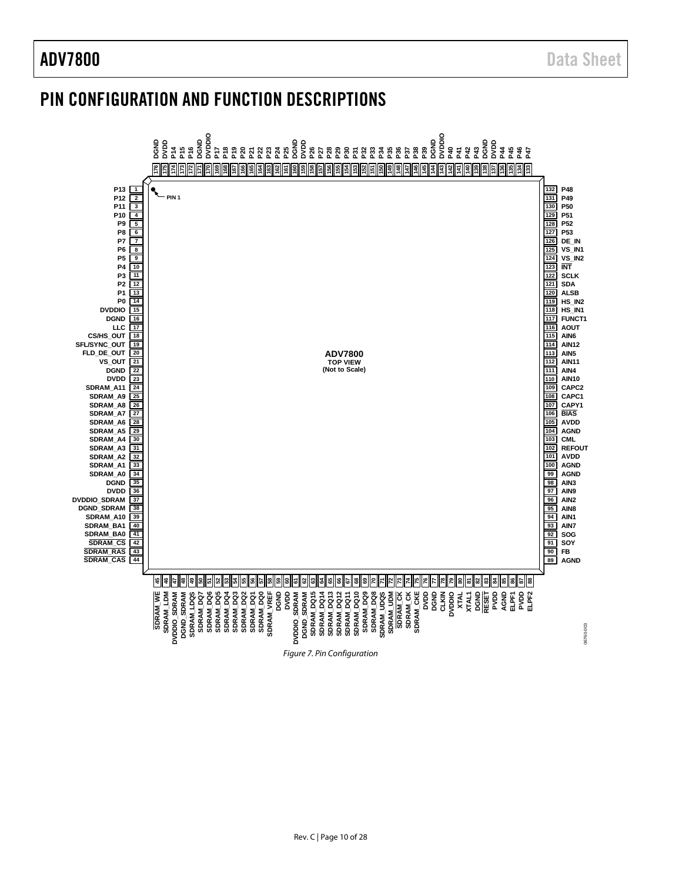## <span id="page-9-0"></span>PIN CONFIGURATION AND FUNCTION DESCRIPTIONS

<span id="page-9-1"></span>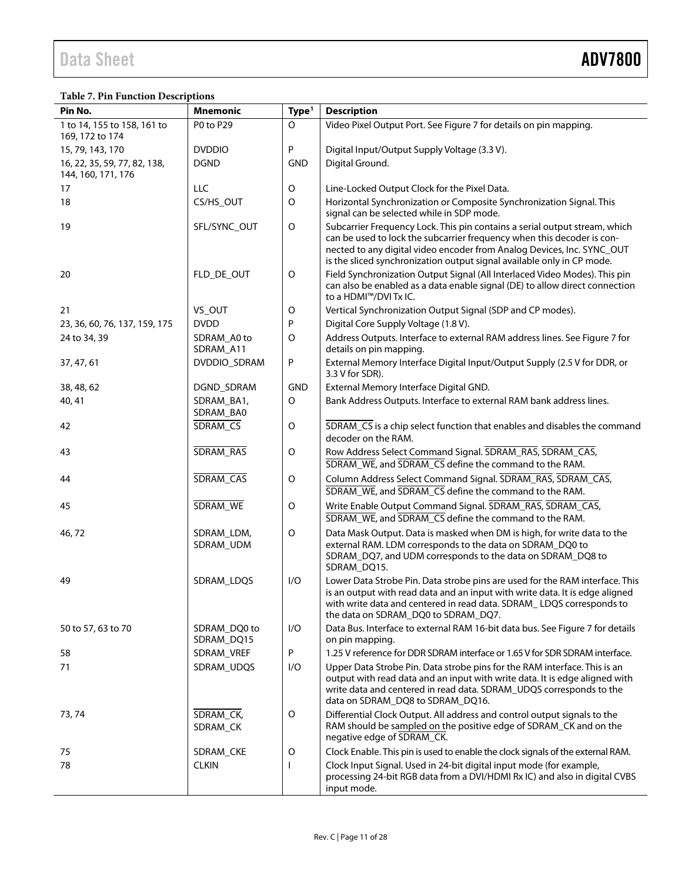### **Table 7. Pin Function Descriptions**

| Pin No.                                            | <b>Mnemonic</b>            | Type <sup>1</sup> | <b>Description</b>                                                                                                                                                                                                                                                                                       |
|----------------------------------------------------|----------------------------|-------------------|----------------------------------------------------------------------------------------------------------------------------------------------------------------------------------------------------------------------------------------------------------------------------------------------------------|
| 1 to 14, 155 to 158, 161 to<br>169, 172 to 174     | P0 to P29                  | O                 | Video Pixel Output Port. See Figure 7 for details on pin mapping.                                                                                                                                                                                                                                        |
| 15, 79, 143, 170                                   | <b>DVDDIO</b>              | P                 | Digital Input/Output Supply Voltage (3.3 V).                                                                                                                                                                                                                                                             |
| 16, 22, 35, 59, 77, 82, 138,<br>144, 160, 171, 176 | <b>DGND</b>                | <b>GND</b>        | Digital Ground.                                                                                                                                                                                                                                                                                          |
| 17                                                 | LLC                        | O                 | Line-Locked Output Clock for the Pixel Data.                                                                                                                                                                                                                                                             |
| 18                                                 | CS/HS_OUT                  | O                 | Horizontal Synchronization or Composite Synchronization Signal. This<br>signal can be selected while in SDP mode.                                                                                                                                                                                        |
| 19                                                 | SFL/SYNC_OUT               | $\mathsf O$       | Subcarrier Frequency Lock. This pin contains a serial output stream, which<br>can be used to lock the subcarrier frequency when this decoder is con-<br>nected to any digital video encoder from Analog Devices, Inc. SYNC_OUT<br>is the sliced synchronization output signal available only in CP mode. |
| 20                                                 | FLD_DE_OUT                 | O                 | Field Synchronization Output Signal (All Interlaced Video Modes). This pin<br>can also be enabled as a data enable signal (DE) to allow direct connection<br>to a HDMI™/DVI Tx IC.                                                                                                                       |
| 21                                                 | VS_OUT                     | O                 | Vertical Synchronization Output Signal (SDP and CP modes).                                                                                                                                                                                                                                               |
| 23, 36, 60, 76, 137, 159, 175                      | <b>DVDD</b>                | P                 | Digital Core Supply Voltage (1.8 V).                                                                                                                                                                                                                                                                     |
| 24 to 34, 39                                       | SDRAM_A0 to<br>SDRAM_A11   | O                 | Address Outputs. Interface to external RAM address lines. See Figure 7 for<br>details on pin mapping.                                                                                                                                                                                                    |
| 37, 47, 61                                         | DVDDIO_SDRAM               | P                 | External Memory Interface Digital Input/Output Supply (2.5 V for DDR, or<br>3.3 V for SDR).                                                                                                                                                                                                              |
| 38, 48, 62                                         | DGND_SDRAM                 | <b>GND</b>        | External Memory Interface Digital GND.                                                                                                                                                                                                                                                                   |
| 40, 41                                             | SDRAM_BA1,<br>SDRAM_BA0    | O                 | Bank Address Outputs. Interface to external RAM bank address lines.                                                                                                                                                                                                                                      |
| 42                                                 | SDRAM_CS                   | O                 | SDRAM_CS is a chip select function that enables and disables the command<br>decoder on the RAM.                                                                                                                                                                                                          |
| 43                                                 | SDRAM_RAS                  | O                 | Row Address Select Command Signal. SDRAM_RAS, SDRAM_CAS,<br>SDRAM_WE, and SDRAM_CS define the command to the RAM.                                                                                                                                                                                        |
| 44                                                 | SDRAM_CAS                  | O                 | Column Address Select Command Signal. SDRAM_RAS, SDRAM_CAS,<br>SDRAM_WE, and SDRAM_CS define the command to the RAM.                                                                                                                                                                                     |
| 45                                                 | SDRAM_WE                   | O                 | Write Enable Output Command Signal. SDRAM_RAS, SDRAM_CAS,<br>SDRAM_WE, and SDRAM_CS define the command to the RAM.                                                                                                                                                                                       |
| 46,72                                              | SDRAM_LDM,<br>SDRAM_UDM    | $\mathsf O$       | Data Mask Output. Data is masked when DM is high, for write data to the<br>external RAM. LDM corresponds to the data on SDRAM_DQ0 to<br>SDRAM_DQ7, and UDM corresponds to the data on SDRAM_DQ8 to<br>SDRAM_DQ15.                                                                                        |
| 49                                                 | SDRAM_LDQS                 | I/O               | Lower Data Strobe Pin. Data strobe pins are used for the RAM interface. This<br>is an output with read data and an input with write data. It is edge aligned<br>with write data and centered in read data. SDRAM_LDQS corresponds to<br>the data on SDRAM DQ0 to SDRAM DQ7.                              |
| 50 to 57, 63 to 70                                 | SDRAM_DQ0 to<br>SDRAM_DQ15 | I/O               | Data Bus. Interface to external RAM 16-bit data bus. See Figure 7 for details<br>on pin mapping.                                                                                                                                                                                                         |
| 58                                                 | SDRAM_VREF                 | P                 | 1.25 V reference for DDR SDRAM interface or 1.65 V for SDR SDRAM interface.                                                                                                                                                                                                                              |
| 71                                                 | SDRAM_UDQS                 | I/O               | Upper Data Strobe Pin. Data strobe pins for the RAM interface. This is an<br>output with read data and an input with write data. It is edge aligned with<br>write data and centered in read data. SDRAM_UDQS corresponds to the<br>data on SDRAM_DQ8 to SDRAM_DQ16.                                      |
| 73, 74                                             | SDRAM_CK,<br>SDRAM_CK      | O                 | Differential Clock Output. All address and control output signals to the<br>RAM should be sampled on the positive edge of SDRAM_CK and on the<br>negative edge of SDRAM_CK.                                                                                                                              |
| 75                                                 | SDRAM_CKE                  | O                 | Clock Enable. This pin is used to enable the clock signals of the external RAM.                                                                                                                                                                                                                          |
| 78                                                 | <b>CLKIN</b>               | $\mathbf{I}$      | Clock Input Signal. Used in 24-bit digital input mode (for example,<br>processing 24-bit RGB data from a DVI/HDMI Rx IC) and also in digital CVBS<br>input mode.                                                                                                                                         |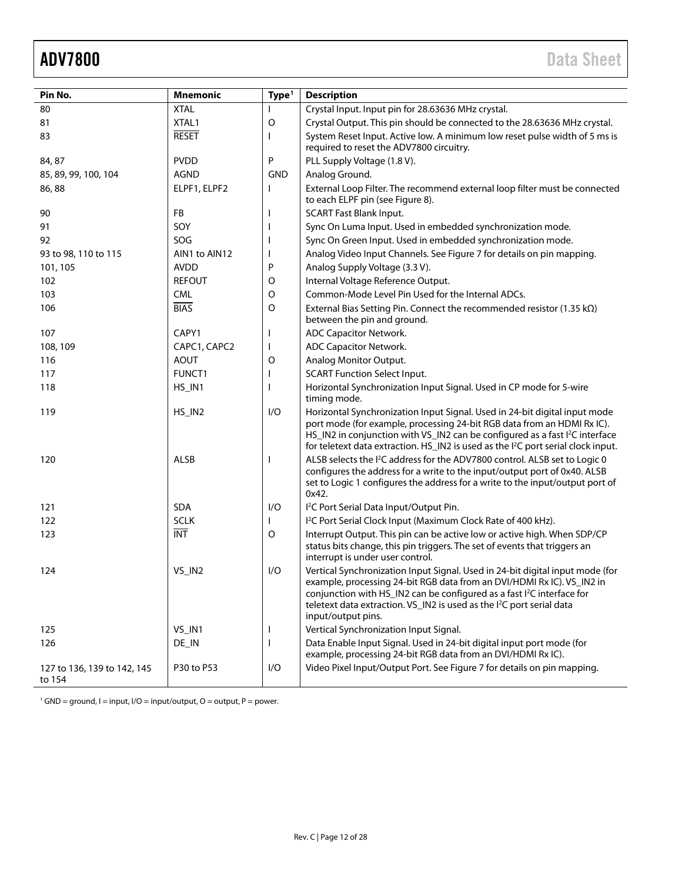<span id="page-11-0"></span>

| Pin No.                               | <b>Mnemonic</b> | Type <sup>1</sup> | <b>Description</b>                                                                                                                                                                                                                                                                                                                                       |
|---------------------------------------|-----------------|-------------------|----------------------------------------------------------------------------------------------------------------------------------------------------------------------------------------------------------------------------------------------------------------------------------------------------------------------------------------------------------|
| 80                                    | <b>XTAL</b>     |                   | Crystal Input. Input pin for 28.63636 MHz crystal.                                                                                                                                                                                                                                                                                                       |
| 81                                    | XTAL1           | O                 | Crystal Output. This pin should be connected to the 28.63636 MHz crystal.                                                                                                                                                                                                                                                                                |
| 83                                    | <b>RESET</b>    | ı                 | System Reset Input. Active low. A minimum low reset pulse width of 5 ms is<br>required to reset the ADV7800 circuitry.                                                                                                                                                                                                                                   |
| 84, 87                                | <b>PVDD</b>     | P                 | PLL Supply Voltage (1.8 V).                                                                                                                                                                                                                                                                                                                              |
| 85, 89, 99, 100, 104                  | <b>AGND</b>     | <b>GND</b>        | Analog Ground.                                                                                                                                                                                                                                                                                                                                           |
| 86,88                                 | ELPF1, ELPF2    |                   | External Loop Filter. The recommend external loop filter must be connected<br>to each ELPF pin (see Figure 8).                                                                                                                                                                                                                                           |
| 90                                    | FB              |                   | <b>SCART Fast Blank Input.</b>                                                                                                                                                                                                                                                                                                                           |
| 91                                    | SOY             |                   | Sync On Luma Input. Used in embedded synchronization mode.                                                                                                                                                                                                                                                                                               |
| 92                                    | SOG             |                   | Sync On Green Input. Used in embedded synchronization mode.                                                                                                                                                                                                                                                                                              |
| 93 to 98, 110 to 115                  | AIN1 to AIN12   |                   | Analog Video Input Channels. See Figure 7 for details on pin mapping.                                                                                                                                                                                                                                                                                    |
| 101, 105                              | <b>AVDD</b>     | P                 | Analog Supply Voltage (3.3 V).                                                                                                                                                                                                                                                                                                                           |
| 102                                   | <b>REFOUT</b>   | O                 | Internal Voltage Reference Output.                                                                                                                                                                                                                                                                                                                       |
| 103                                   | <b>CML</b>      | $\mathsf O$       | Common-Mode Level Pin Used for the Internal ADCs.                                                                                                                                                                                                                                                                                                        |
| 106                                   | <b>BIAS</b>     | $\circ$           | External Bias Setting Pin. Connect the recommended resistor (1.35 $k\Omega$ )<br>between the pin and ground.                                                                                                                                                                                                                                             |
| 107                                   | CAPY1           |                   | ADC Capacitor Network.                                                                                                                                                                                                                                                                                                                                   |
| 108, 109                              | CAPC1, CAPC2    | J.                | ADC Capacitor Network.                                                                                                                                                                                                                                                                                                                                   |
| 116                                   | <b>AOUT</b>     | O                 | Analog Monitor Output.                                                                                                                                                                                                                                                                                                                                   |
| 117                                   | FUNCT1          | I                 | <b>SCART Function Select Input.</b>                                                                                                                                                                                                                                                                                                                      |
| 118                                   | HS_IN1          |                   | Horizontal Synchronization Input Signal. Used in CP mode for 5-wire<br>timing mode.                                                                                                                                                                                                                                                                      |
| 119                                   | HS_IN2          | I/O               | Horizontal Synchronization Input Signal. Used in 24-bit digital input mode<br>port mode (for example, processing 24-bit RGB data from an HDMI Rx IC).<br>HS_IN2 in conjunction with VS_IN2 can be configured as a fast I <sup>2</sup> C interface<br>for teletext data extraction. HS_IN2 is used as the I <sup>2</sup> C port serial clock input.       |
| 120                                   | <b>ALSB</b>     |                   | ALSB selects the I <sup>2</sup> C address for the ADV7800 control. ALSB set to Logic 0<br>configures the address for a write to the input/output port of 0x40. ALSB<br>set to Logic 1 configures the address for a write to the input/output port of<br>0x42.                                                                                            |
| 121                                   | SDA             | I/O               | I <sup>2</sup> C Port Serial Data Input/Output Pin.                                                                                                                                                                                                                                                                                                      |
| 122                                   | <b>SCLK</b>     |                   | I <sup>2</sup> C Port Serial Clock Input (Maximum Clock Rate of 400 kHz).                                                                                                                                                                                                                                                                                |
| 123                                   | <b>INT</b>      | $\circ$           | Interrupt Output. This pin can be active low or active high. When SDP/CP<br>status bits change, this pin triggers. The set of events that triggers an<br>interrupt is under user control.                                                                                                                                                                |
| 124                                   | VS_IN2          | I/O               | Vertical Synchronization Input Signal. Used in 24-bit digital input mode (for<br>example, processing 24-bit RGB data from an DVI/HDMI Rx IC). VS_IN2 in<br>conjunction with HS_IN2 can be configured as a fast I <sup>2</sup> C interface for<br>teletext data extraction. VS_IN2 is used as the I <sup>2</sup> C port serial data<br>input/output pins. |
| 125                                   | VS_IN1          |                   | Vertical Synchronization Input Signal.                                                                                                                                                                                                                                                                                                                   |
| 126                                   | DE_IN           |                   | Data Enable Input Signal. Used in 24-bit digital input port mode (for<br>example, processing 24-bit RGB data from an DVI/HDMI Rx IC).                                                                                                                                                                                                                    |
| 127 to 136, 139 to 142, 145<br>to 154 | P30 to P53      | I/O               | Video Pixel Input/Output Port. See Figure 7 for details on pin mapping.                                                                                                                                                                                                                                                                                  |

 $1$  GND = ground, I = input, I/O = input/output, O = output, P = power.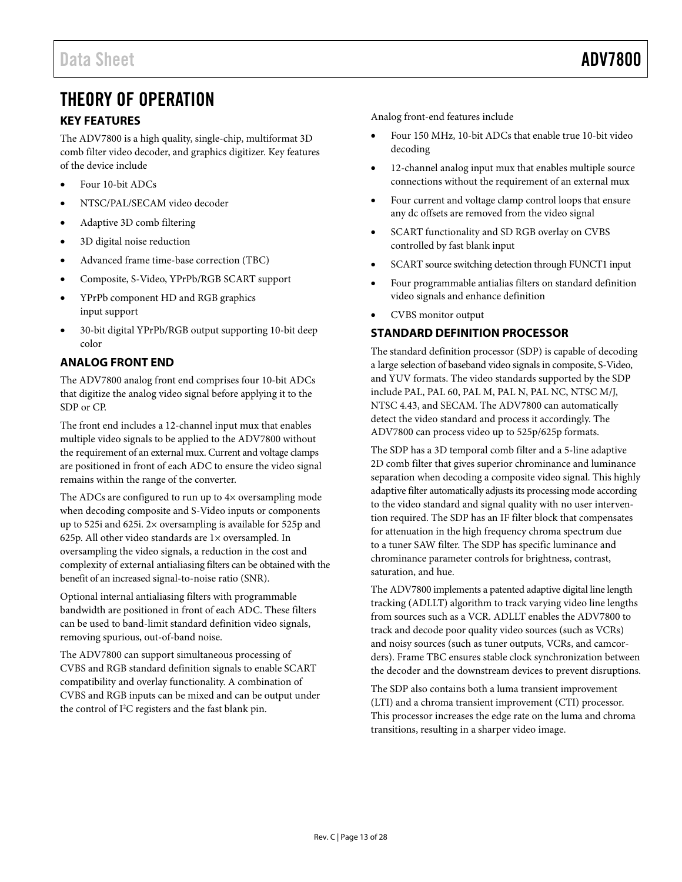## <span id="page-12-0"></span>THEORY OF OPERATION

### <span id="page-12-1"></span>**KEY FEATURES**

The ADV7800 is a high quality, single-chip, multiformat 3D comb filter video decoder, and graphics digitizer. Key features of the device include

- Four 10-bit ADCs
- NTSC/PAL/SECAM video decoder
- Adaptive 3D comb filtering
- 3D digital noise reduction
- Advanced frame time-base correction (TBC)
- Composite, S-Video, YPrPb/RGB SCART support
- YPrPb component HD and RGB graphics input support
- 30-bit digital YPrPb/RGB output supporting 10-bit deep color

### <span id="page-12-2"></span>**ANALOG FRONT END**

The ADV7800 analog front end comprises four 10-bit ADCs that digitize the analog video signal before applying it to the SDP or CP.

The front end includes a 12-channel input mux that enables multiple video signals to be applied to the ADV7800 without the requirement of an external mux. Current and voltage clamps are positioned in front of each ADC to ensure the video signal remains within the range of the converter.

The ADCs are configured to run up to  $4\times$  oversampling mode when decoding composite and S-Video inputs or components up to 525i and 625i. 2× oversampling is available for 525p and 625p. All other video standards are 1× oversampled. In oversampling the video signals, a reduction in the cost and complexity of external antialiasing filters can be obtained with the benefit of an increased signal-to-noise ratio (SNR).

Optional internal antialiasing filters with programmable bandwidth are positioned in front of each ADC. These filters can be used to band-limit standard definition video signals, removing spurious, out-of-band noise.

The ADV7800 can support simultaneous processing of CVBS and RGB standard definition signals to enable SCART compatibility and overlay functionality. A combination of CVBS and RGB inputs can be mixed and can be output under the control of I<sup>2</sup>C registers and the fast blank pin.

Analog front-end features include

- Four 150 MHz, 10-bit ADCs that enable true 10-bit video decoding
- 12-channel analog input mux that enables multiple source connections without the requirement of an external mux
- Four current and voltage clamp control loops that ensure any dc offsets are removed from the video signal
- SCART functionality and SD RGB overlay on CVBS controlled by fast blank input
- SCART source switching detection through FUNCT1 input
- Four programmable antialias filters on standard definition video signals and enhance definition
- CVBS monitor output

### <span id="page-12-3"></span>**STANDARD DEFINITION PROCESSOR**

The standard definition processor (SDP) is capable of decoding a large selection of baseband video signals in composite, S-Video, and YUV formats. The video standards supported by the SDP include PAL, PAL 60, PAL M, PAL N, PAL NC, NTSC M/J, NTSC 4.43, and SECAM. The ADV7800 can automatically detect the video standard and process it accordingly. The ADV7800 can process video up to 525p/625p formats.

The SDP has a 3D temporal comb filter and a 5-line adaptive 2D comb filter that gives superior chrominance and luminance separation when decoding a composite video signal. This highly adaptive filter automatically adjusts its processing mode according to the video standard and signal quality with no user intervention required. The SDP has an IF filter block that compensates for attenuation in the high frequency chroma spectrum due to a tuner SAW filter. The SDP has specific luminance and chrominance parameter controls for brightness, contrast, saturation, and hue.

The ADV7800 implements a patented adaptive digital line length tracking (ADLLT) algorithm to track varying video line lengths from sources such as a VCR. ADLLT enables the ADV7800 to track and decode poor quality video sources (such as VCRs) and noisy sources (such as tuner outputs, VCRs, and camcorders). Frame TBC ensures stable clock synchronization between the decoder and the downstream devices to prevent disruptions.

The SDP also contains both a luma transient improvement (LTI) and a chroma transient improvement (CTI) processor. This processor increases the edge rate on the luma and chroma transitions, resulting in a sharper video image.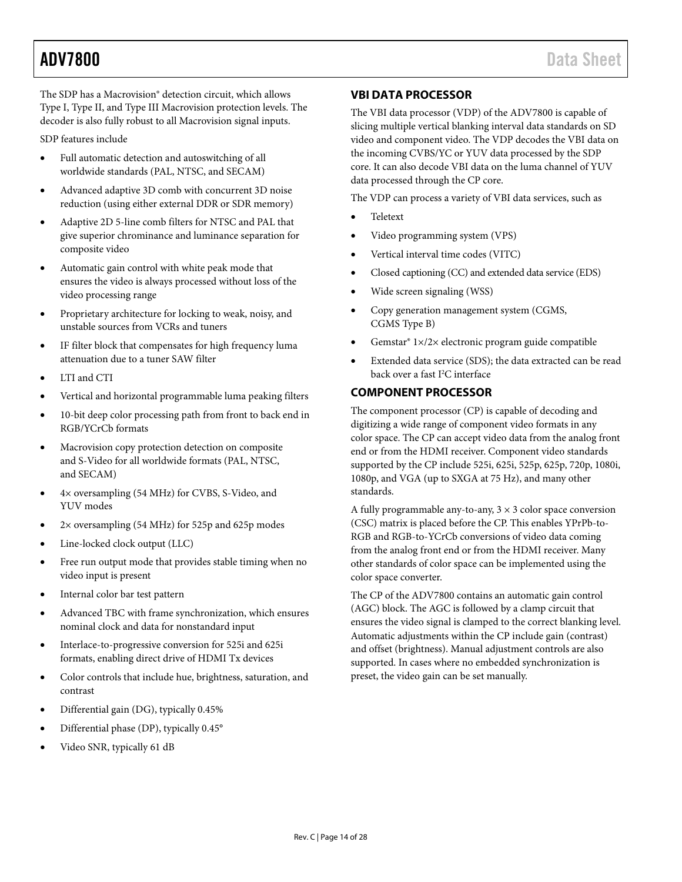The SDP has a Macrovision® detection circuit, which allows Type I, Type II, and Type III Macrovision protection levels. The decoder is also fully robust to all Macrovision signal inputs.

SDP features include

- Full automatic detection and autoswitching of all worldwide standards (PAL, NTSC, and SECAM)
- Advanced adaptive 3D comb with concurrent 3D noise reduction (using either external DDR or SDR memory)
- Adaptive 2D 5-line comb filters for NTSC and PAL that give superior chrominance and luminance separation for composite video
- Automatic gain control with white peak mode that ensures the video is always processed without loss of the video processing range
- Proprietary architecture for locking to weak, noisy, and unstable sources from VCRs and tuners
- IF filter block that compensates for high frequency luma attenuation due to a tuner SAW filter
- LTI and CTI
- Vertical and horizontal programmable luma peaking filters
- 10-bit deep color processing path from front to back end in RGB/YCrCb formats
- Macrovision copy protection detection on composite and S-Video for all worldwide formats (PAL, NTSC, and SECAM)
- 4× oversampling (54 MHz) for CVBS, S-Video, and YUV modes
- 2× oversampling (54 MHz) for 525p and 625p modes
- Line-locked clock output (LLC)
- Free run output mode that provides stable timing when no video input is present
- Internal color bar test pattern
- Advanced TBC with frame synchronization, which ensures nominal clock and data for nonstandard input
- Interlace-to-progressive conversion for 525i and 625i formats, enabling direct drive of HDMI Tx devices
- Color controls that include hue, brightness, saturation, and contrast
- Differential gain (DG), typically 0.45%
- Differential phase (DP), typically 0.45°
- Video SNR, typically 61 dB

### <span id="page-13-0"></span>**VBI DATA PROCESSOR**

The VBI data processor (VDP) of the ADV7800 is capable of slicing multiple vertical blanking interval data standards on SD video and component video. The VDP decodes the VBI data on the incoming CVBS/YC or YUV data processed by the SDP core. It can also decode VBI data on the luma channel of YUV data processed through the CP core.

The VDP can process a variety of VBI data services, such as

- Teletext
- Video programming system (VPS)
- Vertical interval time codes (VITC)
- Closed captioning (CC) and extended data service (EDS)
- Wide screen signaling (WSS)
- Copy generation management system (CGMS, CGMS Type B)
- Gemstar® 1×/2× electronic program guide compatible
- Extended data service (SDS); the data extracted can be read back over a fast I 2 C interface

### <span id="page-13-1"></span>**COMPONENT PROCESSOR**

The component processor (CP) is capable of decoding and digitizing a wide range of component video formats in any color space. The CP can accept video data from the analog front end or from the HDMI receiver. Component video standards supported by the CP include 525i, 625i, 525p, 625p, 720p, 1080i, 1080p, and VGA (up to SXGA at 75 Hz), and many other standards.

A fully programmable any-to-any,  $3 \times 3$  color space conversion (CSC) matrix is placed before the CP. This enables YPrPb-to-RGB and RGB-to-YCrCb conversions of video data coming from the analog front end or from the HDMI receiver. Many other standards of color space can be implemented using the color space converter.

The CP of the ADV7800 contains an automatic gain control (AGC) block. The AGC is followed by a clamp circuit that ensures the video signal is clamped to the correct blanking level. Automatic adjustments within the CP include gain (contrast) and offset (brightness). Manual adjustment controls are also supported. In cases where no embedded synchronization is preset, the video gain can be set manually.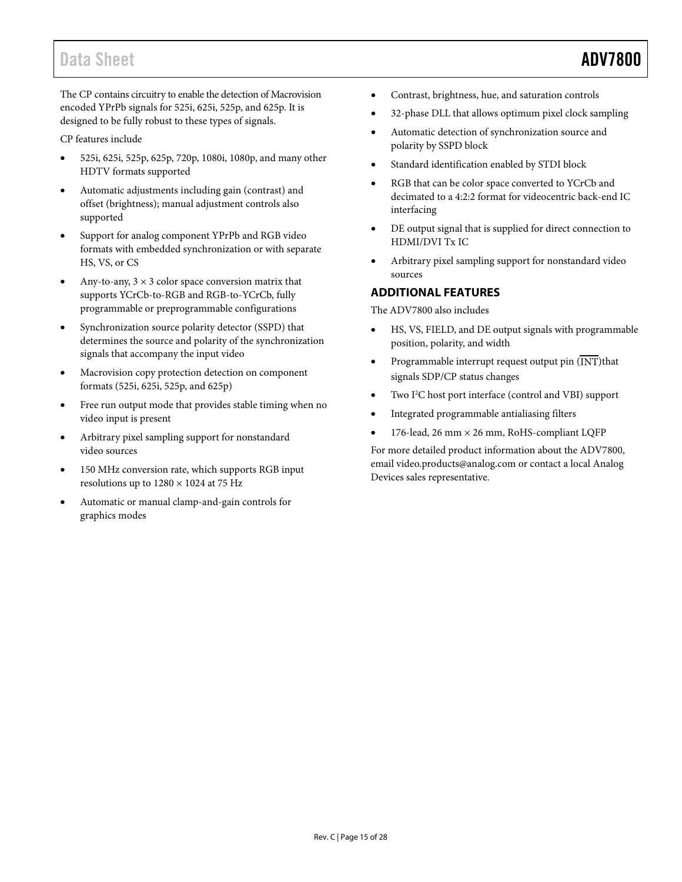## Data Sheet **ADV7800**

The CP contains circuitry to enable the detection of Macrovision encoded YPrPb signals for 525i, 625i, 525p, and 625p. It is designed to be fully robust to these types of signals.

CP features include

- 525i, 625i, 525p, 625p, 720p, 1080i, 1080p, and many other HDTV formats supported
- Automatic adjustments including gain (contrast) and offset (brightness); manual adjustment controls also supported
- Support for analog component YPrPb and RGB video formats with embedded synchronization or with separate HS, VS, or CS
- Any-to-any,  $3 \times 3$  color space conversion matrix that supports YCrCb-to-RGB and RGB-to-YCrCb, fully programmable or preprogrammable configurations
- Synchronization source polarity detector (SSPD) that determines the source and polarity of the synchronization signals that accompany the input video
- Macrovision copy protection detection on component formats (525i, 625i, 525p, and 625p)
- Free run output mode that provides stable timing when no video input is present
- Arbitrary pixel sampling support for nonstandard video sources
- 150 MHz conversion rate, which supports RGB input resolutions up to  $1280 \times 1024$  at 75 Hz
- Automatic or manual clamp-and-gain controls for graphics modes
- Contrast, brightness, hue, and saturation controls
- 32-phase DLL that allows optimum pixel clock sampling
- Automatic detection of synchronization source and polarity by SSPD block
- Standard identification enabled by STDI block
- RGB that can be color space converted to YCrCb and decimated to a 4:2:2 format for videocentric back-end IC interfacing
- DE output signal that is supplied for direct connection to HDMI/DVI Tx IC
- Arbitrary pixel sampling support for nonstandard video sources

### <span id="page-14-0"></span>**ADDITIONAL FEATURES**

The ADV7800 also includes

- HS, VS, FIELD, and DE output signals with programmable position, polarity, and width
- Programmable interrupt request output pin  $(\overline{\text{INT}})$ that signals SDP/CP status changes
- Two I<sup>2</sup>C host port interface (control and VBI) support
- Integrated programmable antialiasing filters
- 176-lead, 26 mm × 26 mm, RoHS-compliant LQFP

For more detailed product information about the ADV7800, email [video.products@analog.com](mailto:video.products@analog.com) or contact a local Analog Devices sales representative.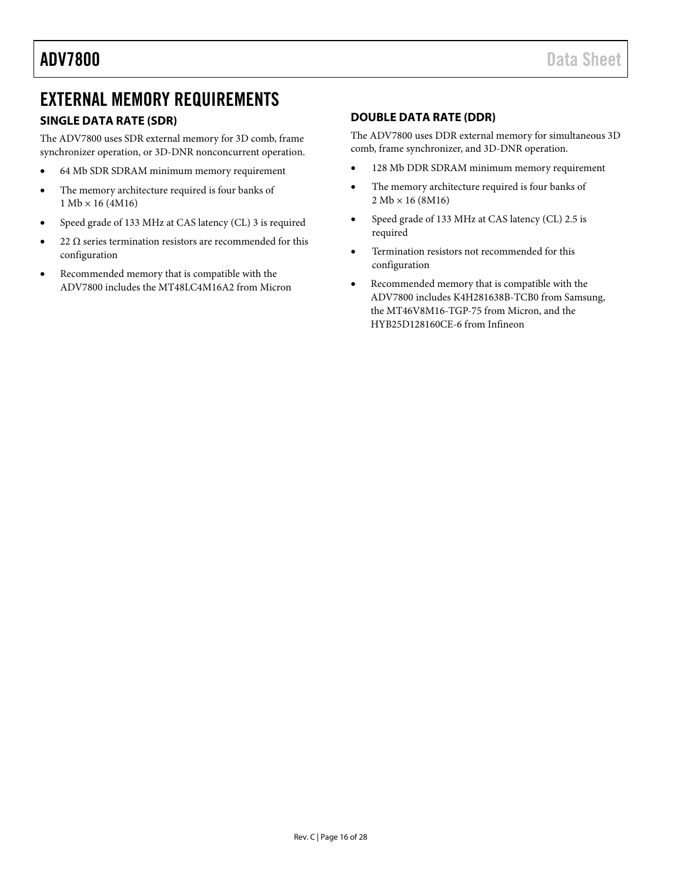## <span id="page-15-0"></span>EXTERNAL MEMORY REQUIREMENTS

### <span id="page-15-1"></span>**SINGLE DATA RATE (SDR)**

The ADV7800 uses SDR external memory for 3D comb, frame synchronizer operation, or 3D-DNR nonconcurrent operation.

- 64 Mb SDR SDRAM minimum memory requirement
- The memory architecture required is four banks of  $1 Mb \times 16 (4M16)$
- Speed grade of 133 MHz at CAS latency (CL) 3 is required
- 22  $\Omega$  series termination resistors are recommended for this configuration
- Recommended memory that is compatible with the ADV7800 includes the MT48LC4M16A2 from Micron

### <span id="page-15-2"></span>**DOUBLE DATA RATE (DDR)**

The ADV7800 uses DDR external memory for simultaneous 3D comb, frame synchronizer, and 3D-DNR operation.

- 128 Mb DDR SDRAM minimum memory requirement
- The memory architecture required is four banks of  $2 Mb \times 16 (8 M16)$
- Speed grade of 133 MHz at CAS latency (CL) 2.5 is required
- Termination resistors not recommended for this configuration
- Recommended memory that is compatible with the ADV7800 includes K4H281638B-TCB0 from Samsung, the MT46V8M16-TGP-75 from Micron, and the HYB25D128160CE-6 from Infineon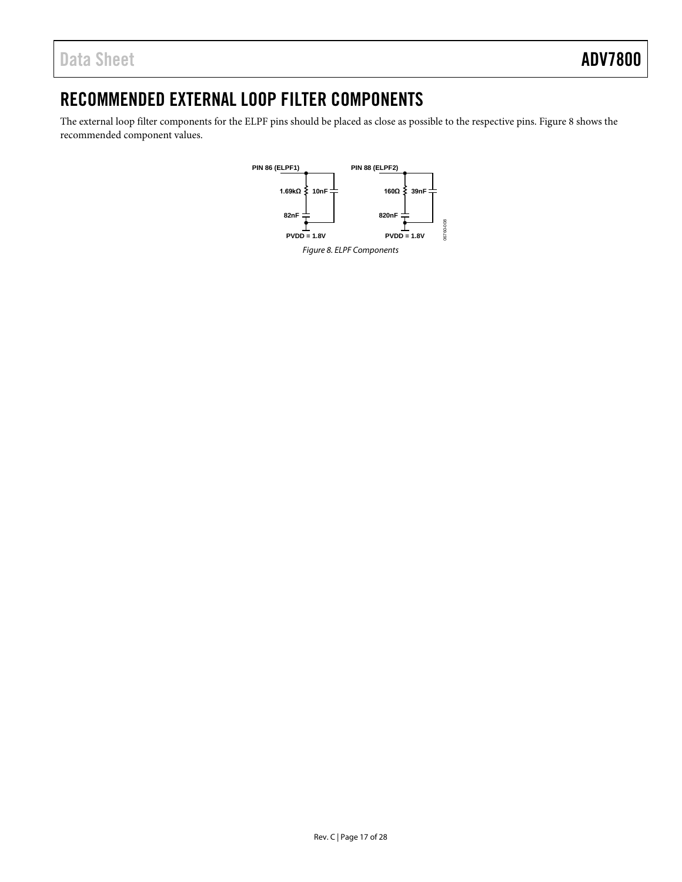## <span id="page-16-0"></span>RECOMMENDED EXTERNAL LOOP FILTER COMPONENTS

<span id="page-16-1"></span>The external loop filter components for the ELPF pins should be placed as close as possible to the respective pins[. Figure 8](#page-16-1) shows the recommended component values.

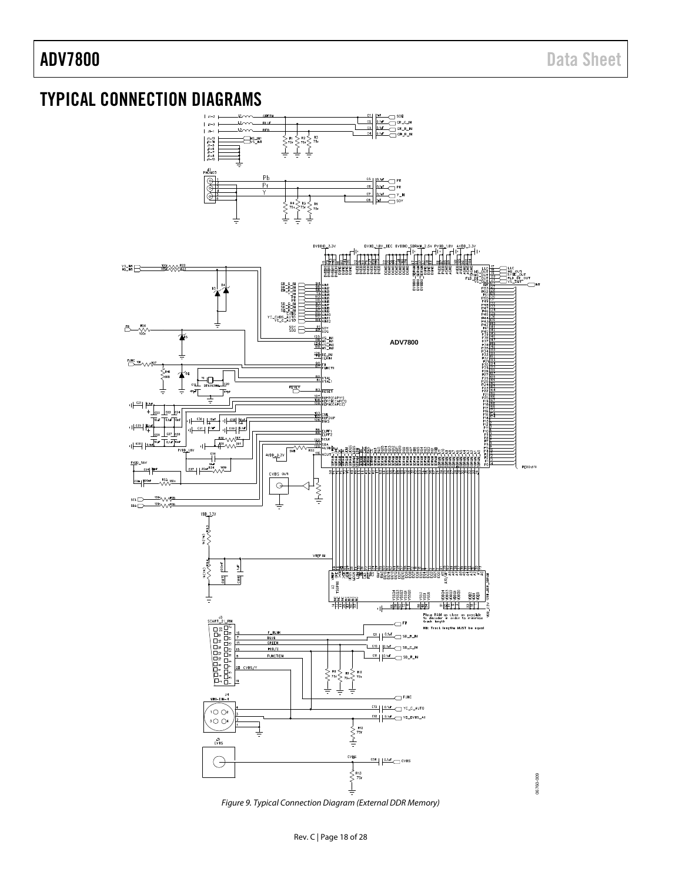## <span id="page-17-0"></span>TYPICAL CONNECTION DIAGRAMS



Figure 9. Typical Connection Diagram (External DDR Memory)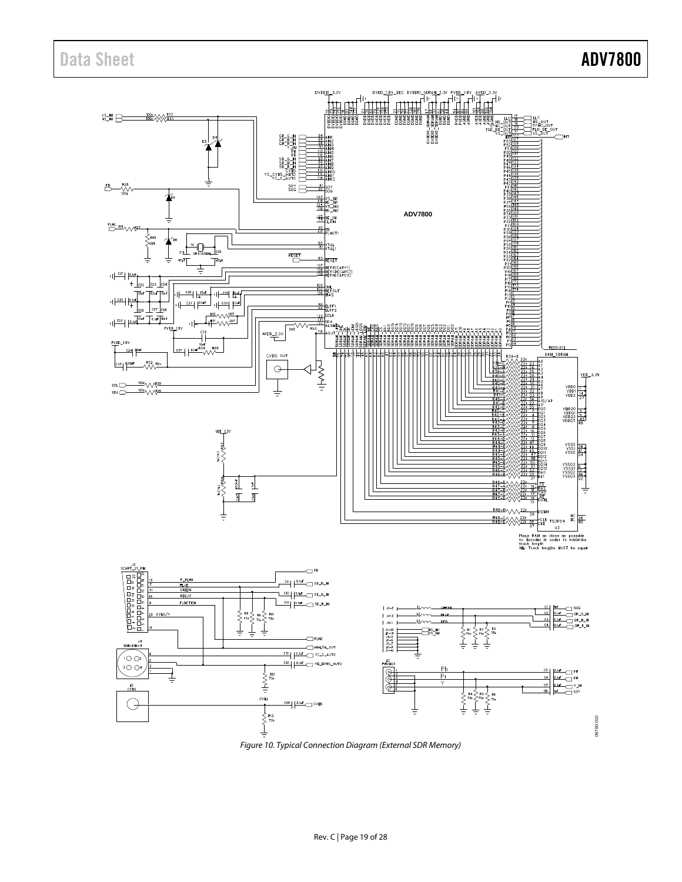# Data Sheet **ADV7800**



Figure 10. Typical Connection Diagram (External SDR Memory)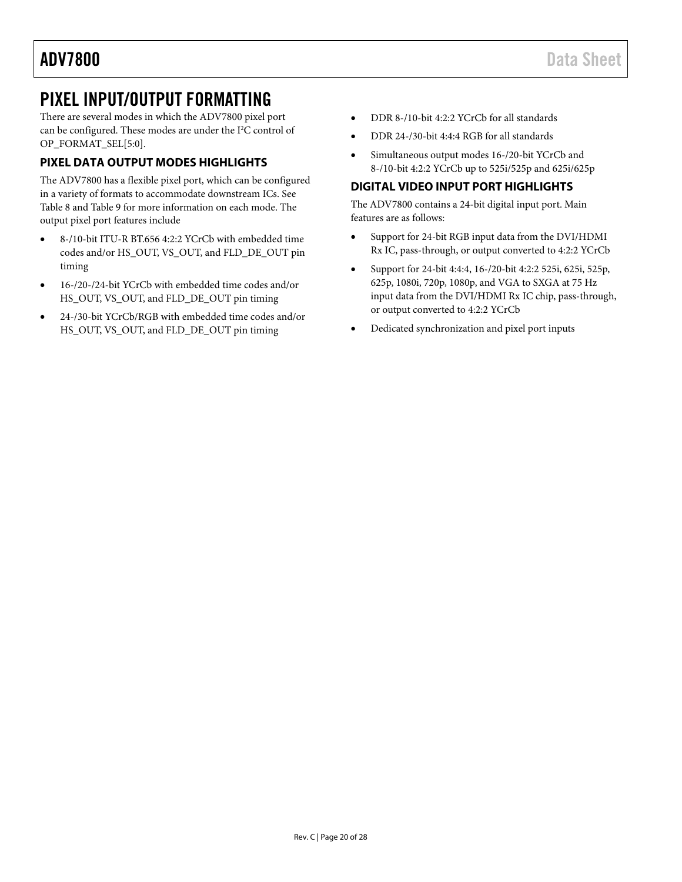## <span id="page-19-0"></span>PIXEL INPUT/OUTPUT FORMATTING

There are several modes in which the ADV7800 pixel port can be configured. These modes are under the I<sup>2</sup>C control of OP\_FORMAT\_SEL[5:0].

### <span id="page-19-1"></span>**PIXEL DATA OUTPUT MODES HIGHLIGHTS**

The ADV7800 has a flexible pixel port, which can be configured in a variety of formats to accommodate downstream ICs. See [Table 8](#page-20-0) an[d Table 9](#page-22-0) for more information on each mode. The output pixel port features include

- 8-/10-bit ITU-R BT.656 4:2:2 YCrCb with embedded time codes and/or HS\_OUT, VS\_OUT, and FLD\_DE\_OUT pin timing
- 16-/20-/24-bit YCrCb with embedded time codes and/or HS\_OUT, VS\_OUT, and FLD\_DE\_OUT pin timing
- 24-/30-bit YCrCb/RGB with embedded time codes and/or HS\_OUT, VS\_OUT, and FLD\_DE\_OUT pin timing
- DDR 8-/10-bit 4:2:2 YCrCb for all standards
- DDR 24-/30-bit 4:4:4 RGB for all standards
- Simultaneous output modes 16-/20-bit YCrCb and 8-/10-bit 4:2:2 YCrCb up to 525i/525p and 625i/625p

### <span id="page-19-2"></span>**DIGITAL VIDEO INPUT PORT HIGHLIGHTS**

The ADV7800 contains a 24-bit digital input port. Main features are as follows:

- Support for 24-bit RGB input data from the DVI/HDMI Rx IC, pass-through, or output converted to 4:2:2 YCrCb
- Support for 24-bit 4:4:4, 16-/20-bit 4:2:2 525i, 625i, 525p, 625p, 1080i, 720p, 1080p, and VGA to SXGA at 75 Hz input data from the DVI/HDMI Rx IC chip, pass-through, or output converted to 4:2:2 YCrCb
- Dedicated synchronization and pixel port inputs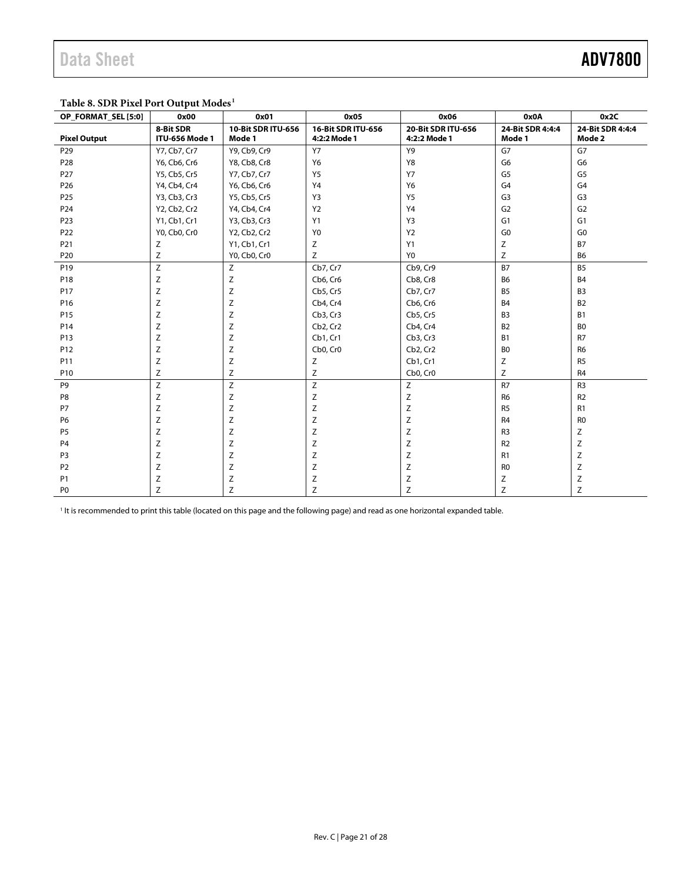### <span id="page-20-0"></span>**Table 8. SDR Pixel Port Output Modes1**

| OP_FORMAT_SEL [5:0] | 0x00                        | 0x01                         | 0x05                               | 0x06                               | 0x0A                       | 0x2C                       |
|---------------------|-----------------------------|------------------------------|------------------------------------|------------------------------------|----------------------------|----------------------------|
| <b>Pixel Output</b> | 8-Bit SDR<br>ITU-656 Mode 1 | 10-Bit SDR ITU-656<br>Mode 1 | 16-Bit SDR ITU-656<br>4:2:2 Mode 1 | 20-Bit SDR ITU-656<br>4:2:2 Mode 1 | 24-Bit SDR 4:4:4<br>Mode 1 | 24-Bit SDR 4:4:4<br>Mode 2 |
| P29                 | Y7, Cb7, Cr7                | Y9, Cb9, Cr9                 | <b>Y7</b>                          | Y9                                 | G7                         | G7                         |
| P <sub>28</sub>     | Y6, Cb6, Cr6                | Y8, Cb8, Cr8                 | Y6                                 | Y8                                 | G <sub>6</sub>             | G6                         |
| P27                 | Y5, Cb5, Cr5                | Y7, Cb7, Cr7                 | Y <sub>5</sub>                     | <b>Y7</b>                          | G5                         | G <sub>5</sub>             |
| P <sub>26</sub>     | Y4, Cb4, Cr4                | Y6, Cb6, Cr6                 | Y4                                 | Y6                                 | G <sub>4</sub>             | G <sub>4</sub>             |
| P <sub>25</sub>     | Y3, Cb3, Cr3                | Y5, Cb5, Cr5                 | Y3                                 | Y5                                 | G <sub>3</sub>             | G <sub>3</sub>             |
| P24                 | Y2, Cb2, Cr2                | Y4, Cb4, Cr4                 | <b>Y2</b>                          | Y4                                 | G <sub>2</sub>             | G <sub>2</sub>             |
| P23                 | Y1, Cb1, Cr1                | Y3, Cb3, Cr3                 | Y1                                 | Y3                                 | G <sub>1</sub>             | G <sub>1</sub>             |
| P22                 | Y0, Cb0, Cr0                | Y2, Cb2, Cr2                 | Y <sub>0</sub>                     | Y2                                 | G <sub>0</sub>             | G <sub>0</sub>             |
| P21                 | Ζ                           | Y1, Cb1, Cr1                 | Ζ                                  | Y1                                 | Z                          | <b>B7</b>                  |
| P20                 | $\mathsf Z$                 | Y0, Cb0, Cr0                 | Ζ                                  | Y <sub>0</sub>                     | Z                          | B <sub>6</sub>             |
| P19                 | Z                           | Z                            | Cb7, Cr7                           | Cb9, Cr9                           | <b>B7</b>                  | B <sub>5</sub>             |
| P18                 | Z                           | Ζ                            | Cb6, Cr6                           | Cb8, Cr8                           | <b>B6</b>                  | B4                         |
| P17                 | Z                           | Ζ                            | Cb5, Cr5                           | Cb7, Cr7                           | <b>B5</b>                  | B <sub>3</sub>             |
| P16                 | Z                           | Ζ                            | Cb4, Cr4                           | Cb6, Cr6                           | <b>B4</b>                  | <b>B2</b>                  |
| P15                 | Z                           | Z                            | Cb3, Cr3                           | Cb5, Cr5                           | B <sub>3</sub>             | <b>B1</b>                  |
| P14                 | Z                           | Z                            | Cb <sub>2</sub> , Cr <sub>2</sub>  | Cb4, Cr4                           | <b>B2</b>                  | B <sub>0</sub>             |
| P13                 | Z                           | Z                            | Cb1, Cr1                           | Cb3, Cr3                           | <b>B1</b>                  | R7                         |
| P12                 | Z                           | Z                            | Cb0, Cr0                           | Cb2, Cr2                           | B <sub>0</sub>             | R <sub>6</sub>             |
| P11                 | Z                           | Ζ                            | Z                                  | Cb1, Cr1                           | Ζ                          | R <sub>5</sub>             |
| P10                 | Z                           | Ζ                            | Z                                  | Cb0, Cr0                           | Z                          | R <sub>4</sub>             |
| P9                  | Z                           | Ζ                            | Z                                  | Z                                  | R7                         | R <sub>3</sub>             |
| P8                  | Z                           | Ζ                            | Ζ                                  | Z                                  | R <sub>6</sub>             | R <sub>2</sub>             |
| <b>P7</b>           | Z                           | Ζ                            | Z                                  | Z                                  | R <sub>5</sub>             | R1                         |
| P <sub>6</sub>      | Z                           | Z                            | Z                                  | Ζ                                  | R <sub>4</sub>             | R <sub>0</sub>             |
| P <sub>5</sub>      | Z                           | Ζ                            | Z                                  | Ζ                                  | R <sub>3</sub>             | Ζ                          |
| P <sub>4</sub>      | Ζ                           | Ζ                            | Z                                  | Ζ                                  | R <sub>2</sub>             | Z                          |
| P <sub>3</sub>      | Ζ                           | Ζ                            | Ζ                                  | Ζ                                  | R <sub>1</sub>             | Ζ                          |
| P <sub>2</sub>      | Z                           | Z                            | Z                                  | Ζ                                  | R <sub>0</sub>             | Z                          |
| <b>P1</b>           | Z                           | Ζ                            | Z                                  | Ζ                                  | Z                          | Ζ                          |
| P <sub>0</sub>      | Ζ                           | Ζ                            | Z                                  | Ζ                                  | Ζ                          | Ζ                          |

<sup>1</sup> It is recommended to print this table (located on this page and the following page) and read as one horizontal expanded table.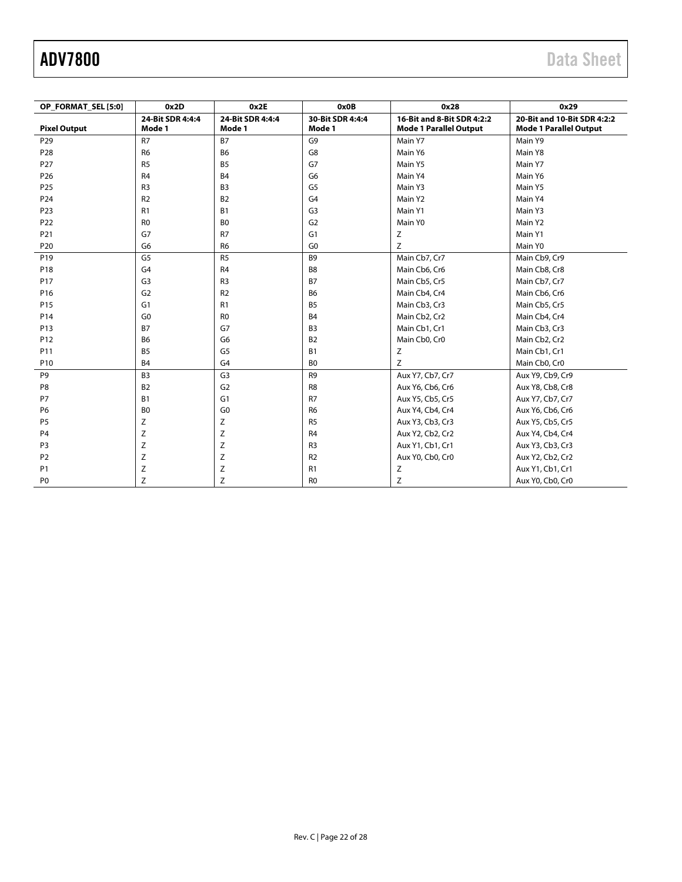| OP FORMAT SEL [5:0] | 0x2D                       | 0x2E                       | 0x0B                       | 0x28                                                        | 0x29                                                         |
|---------------------|----------------------------|----------------------------|----------------------------|-------------------------------------------------------------|--------------------------------------------------------------|
| <b>Pixel Output</b> | 24-Bit SDR 4:4:4<br>Mode 1 | 24-Bit SDR 4:4:4<br>Mode 1 | 30-Bit SDR 4:4:4<br>Mode 1 | 16-Bit and 8-Bit SDR 4:2:2<br><b>Mode 1 Parallel Output</b> | 20-Bit and 10-Bit SDR 4:2:2<br><b>Mode 1 Parallel Output</b> |
| P <sub>29</sub>     | R7                         | <b>B7</b>                  | G <sub>9</sub>             | Main Y7                                                     | Main Y9                                                      |
| P28                 | R <sub>6</sub>             | <b>B6</b>                  | G8                         | Main Y6                                                     | Main Y8                                                      |
| P27                 | R <sub>5</sub>             | B <sub>5</sub>             | G7                         | Main Y5                                                     | Main Y7                                                      |
| P <sub>26</sub>     | R <sub>4</sub>             | <b>B4</b>                  | G <sub>6</sub>             | Main Y4                                                     | Main Y6                                                      |
| P25                 | R <sub>3</sub>             | B <sub>3</sub>             | G <sub>5</sub>             | Main Y3                                                     | Main Y5                                                      |
| P24                 | R <sub>2</sub>             | B <sub>2</sub>             | G <sub>4</sub>             | Main Y2                                                     | Main Y4                                                      |
| P23                 | R1                         | B1                         | G <sub>3</sub>             | Main Y1                                                     | Main Y3                                                      |
| P22                 | R <sub>0</sub>             | B <sub>0</sub>             | G <sub>2</sub>             | Main Y0                                                     | Main Y2                                                      |
| P21                 | G7                         | R7                         | G <sub>1</sub>             | Ζ                                                           | Main Y1                                                      |
| P20                 | G <sub>6</sub>             | R <sub>6</sub>             | G <sub>0</sub>             | Z                                                           | Main Y0                                                      |
| P19                 | G <sub>5</sub>             | R <sub>5</sub>             | B <sub>9</sub>             | Main Cb7, Cr7                                               | Main Cb9, Cr9                                                |
| P18                 | G4                         | R <sub>4</sub>             | B8                         | Main Cb6, Cr6                                               | Main Cb8, Cr8                                                |
| P17                 | G <sub>3</sub>             | R <sub>3</sub>             | <b>B7</b>                  | Main Cb5, Cr5                                               | Main Cb7, Cr7                                                |
| P16                 | G <sub>2</sub>             | R <sub>2</sub>             | <b>B6</b>                  | Main Cb4, Cr4                                               | Main Cb6, Cr6                                                |
| P15                 | G <sub>1</sub>             | R1                         | B <sub>5</sub>             | Main Cb3, Cr3                                               | Main Cb5, Cr5                                                |
| P14                 | G <sub>0</sub>             | R <sub>0</sub>             | <b>B4</b>                  | Main Cb2, Cr2                                               | Main Cb4, Cr4                                                |
| P13                 | <b>B7</b>                  | G7                         | B <sub>3</sub>             | Main Cb1, Cr1                                               | Main Cb3, Cr3                                                |
| P12                 | B <sub>6</sub>             | G <sub>6</sub>             | <b>B2</b>                  | Main Cb0, Cr0                                               | Main Cb2, Cr2                                                |
| P11                 | <b>B5</b>                  | G <sub>5</sub>             | <b>B1</b>                  | Ζ                                                           | Main Cb1, Cr1                                                |
| P10                 | <b>B4</b>                  | G <sub>4</sub>             | B <sub>0</sub>             | Z                                                           | Main Cb0, Cr0                                                |
| P <sub>9</sub>      | B <sub>3</sub>             | G <sub>3</sub>             | R <sub>9</sub>             | Aux Y7, Cb7, Cr7                                            | Aux Y9, Cb9, Cr9                                             |
| P <sub>8</sub>      | <b>B2</b>                  | G <sub>2</sub>             | R <sub>8</sub>             | Aux Y6, Cb6, Cr6                                            | Aux Y8, Cb8, Cr8                                             |
| P7                  | <b>B1</b>                  | G <sub>1</sub>             | R7                         | Aux Y5, Cb5, Cr5                                            | Aux Y7, Cb7, Cr7                                             |
| P <sub>6</sub>      | B <sub>0</sub>             | G <sub>0</sub>             | R <sub>6</sub>             | Aux Y4, Cb4, Cr4                                            | Aux Y6, Cb6, Cr6                                             |
| P <sub>5</sub>      | Z                          | Ζ                          | R <sub>5</sub>             | Aux Y3, Cb3, Cr3                                            | Aux Y5, Cb5, Cr5                                             |
| P <sub>4</sub>      | Z                          | Z                          | R <sub>4</sub>             | Aux Y2, Cb2, Cr2                                            | Aux Y4, Cb4, Cr4                                             |
| P <sub>3</sub>      | $\mathsf Z$                | Z                          | R <sub>3</sub>             | Aux Y1, Cb1, Cr1                                            | Aux Y3, Cb3, Cr3                                             |
| P <sub>2</sub>      | Z                          | Z                          | R <sub>2</sub>             | Aux Y0, Cb0, Cr0                                            | Aux Y2, Cb2, Cr2                                             |
| P <sub>1</sub>      | $\mathsf Z$                | Z                          | R1                         | Ζ                                                           | Aux Y1, Cb1, Cr1                                             |
| P <sub>0</sub>      | Ζ                          | Z                          | R <sub>0</sub>             | Z                                                           | Aux Y0, Cb0, Cr0                                             |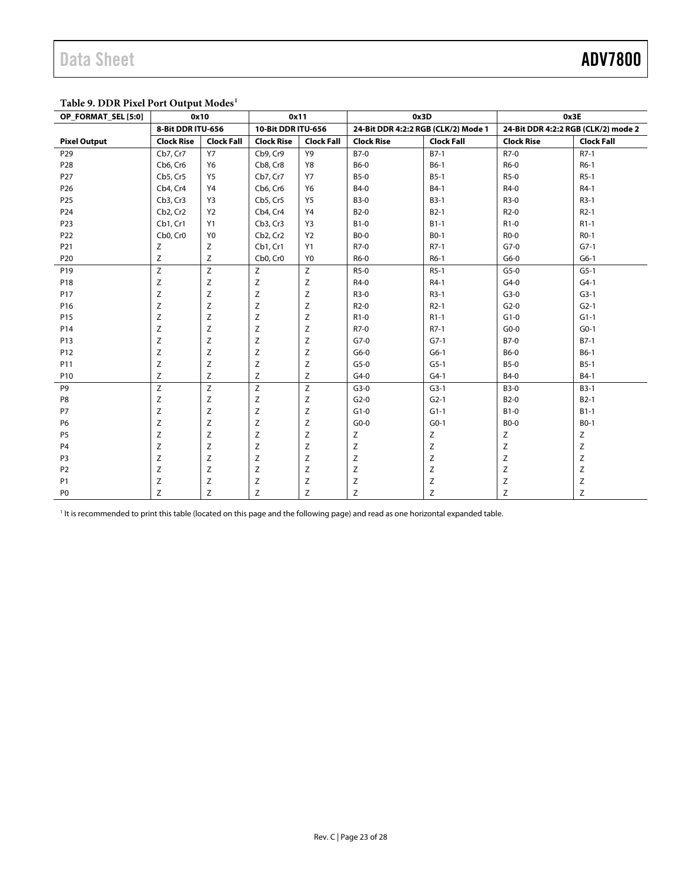### <span id="page-22-0"></span>**Table 9. DDR Pixel Port Output Modes1**

| OP_FORMAT_SEL [5:0] | 0x10              |                   | 0x11                              |                   | 0x3D<br>0x3E                        |                   |                                     |                   |
|---------------------|-------------------|-------------------|-----------------------------------|-------------------|-------------------------------------|-------------------|-------------------------------------|-------------------|
|                     | 8-Bit DDR ITU-656 |                   | 10-Bit DDR ITU-656                |                   | 24-Bit DDR 4:2:2 RGB (CLK/2) Mode 1 |                   | 24-Bit DDR 4:2:2 RGB (CLK/2) mode 2 |                   |
| <b>Pixel Output</b> | <b>Clock Rise</b> | <b>Clock Fall</b> | <b>Clock Rise</b>                 | <b>Clock Fall</b> | <b>Clock Rise</b>                   | <b>Clock Fall</b> | <b>Clock Rise</b>                   | <b>Clock Fall</b> |
| P29                 | Cb7, Cr7          | <b>Y7</b>         | Cb9, Cr9                          | Y9                | B7-0                                | $B7-1$            | R7-0                                | $R7-1$            |
| P <sub>28</sub>     | Cb6, Cr6          | <b>Y6</b>         | Cb8, Cr8                          | Y8                | B6-0                                | $B6-1$            | R6-0                                | $R6-1$            |
| P27                 | Cb5, Cr5          | Y5                | Cb7, Cr7                          | Y7                | <b>B5-0</b>                         | $B5-1$            | R5-0                                | $R5-1$            |
| P <sub>26</sub>     | Cb4, Cr4          | Y4                | Cb6, Cr6                          | Y6                | B4-0                                | $B4-1$            | R4-0                                | $R4-1$            |
| P <sub>25</sub>     | Cb3, Cr3          | Y3                | Cb5, Cr5                          | Y5                | <b>B3-0</b>                         | $B3-1$            | R3-0                                | $R3-1$            |
| P24                 | Cb2, Cr2          | <b>Y2</b>         | Cb4, Cr4                          | Y4                | B <sub>2</sub> -0                   | $B2-1$            | $R2-0$                              | $R2-1$            |
| P23                 | Cb1, Cr1          | Y1                | Cb3, Cr3                          | Y3                | $B1-0$                              | $B1-1$            | $R1-0$                              | $R1-1$            |
| P22                 | Cb0, Cr0          | Y <sub>0</sub>    | Cb <sub>2</sub> , Cr <sub>2</sub> | <b>Y2</b>         | <b>BO-0</b>                         | $B0-1$            | R0-0                                | $RO-1$            |
| P21                 | z                 | Ζ                 | Cb1, Cr1                          | Y1                | R7-0                                | $R7-1$            | $G7-0$                              | $G7-1$            |
| P <sub>20</sub>     | Ζ                 | Ζ                 | Cb <sub>0</sub> , Cr <sub>0</sub> | Y0                | R6-0                                | $R6-1$            | $G6-0$                              | $G6-1$            |
| P <sub>19</sub>     | Z                 | Z                 | Z                                 | Z                 | $R5-0$                              | $R5-1$            | $G5-0$                              | $G5-1$            |
| P18                 | Ζ                 | Z                 | Z                                 | Ζ                 | R4-0                                | $R4-1$            | $G4-0$                              | $G4-1$            |
| P <sub>17</sub>     | Ζ                 | Z                 | Z                                 | Z                 | $R3-0$                              | $R3-1$            | $G3-0$                              | $G3-1$            |
| P16                 | Ζ                 | Z                 | Z                                 | Ζ                 | $R2-0$                              | $R2-1$            | $G2-0$                              | $G2-1$            |
| P15                 | Ζ                 | Z                 | Z                                 | Z                 | $R1-0$                              | $R1-1$            | $G1-0$                              | $G1-1$            |
| P14                 | Ζ                 | Z                 | Z                                 | Z                 | R7-0                                | $R7-1$            | $G0-0$                              | $G0-1$            |
| P13                 | Ζ                 | Z                 | Z                                 | Ζ                 | $G7-0$                              | $G7-1$            | B7-0                                | $B7-1$            |
| P12                 | Ζ                 | Z                 | Z                                 | Z                 | $G6-0$                              | $G6-1$            | <b>B6-0</b>                         | $B6-1$            |
| P11                 | Ζ                 | Z                 | Ζ                                 | Ζ                 | $G5-0$                              | $G5-1$            | <b>B5-0</b>                         | $B5-1$            |
| P10                 | Z                 | Z                 | Z                                 | Ζ                 | $G4-0$                              | $G4-1$            | B4-0                                | $B4-1$            |
| P9                  | Z                 | Ζ                 | $\mathsf Z$                       | Ζ                 | $G3-0$                              | $G3-1$            | <b>B3-0</b>                         | $B3-1$            |
| P8                  | Ζ                 | Z                 | Z                                 | Ζ                 | $G2-0$                              | $G2-1$            | <b>B2-0</b>                         | $B2-1$            |
| P7                  | Ζ                 | Z                 | Ζ                                 | Ζ                 | $G1-0$                              | $G1-1$            | $B1-0$                              | $B1-1$            |
| P <sub>6</sub>      | Z                 | Z                 | Z                                 | Ζ                 | $G0-0$                              | $G0-1$            | <b>BO-0</b>                         | $B0-1$            |
| P <sub>5</sub>      | Ζ                 | Z                 | $\mathsf Z$                       | Ζ                 | Ζ                                   | Ζ                 | Ζ                                   | Ζ                 |
| P <sub>4</sub>      | Z                 | Z                 | Z                                 | Ζ                 | $\mathsf Z$                         | $\mathsf Z$       | $\mathsf{Z}$                        | Z                 |
| P <sub>3</sub>      | Ζ                 | Z                 | Z                                 | Z                 | $\mathsf Z$                         | $\mathsf Z$       | Z                                   | Z                 |
| P <sub>2</sub>      | Ζ                 | Z                 | Z                                 | Ζ                 | $\mathsf Z$                         | $\mathsf Z$       | $\mathsf Z$                         | Z                 |
| P <sub>1</sub>      | Ζ                 | Z                 | Z                                 | $\mathsf Z$       | $\mathsf Z$                         | $\mathsf Z$       | $\mathsf Z$                         | $\mathsf Z$       |
| P <sub>0</sub>      | Ζ                 | Z                 | Z                                 | Ζ                 | $\mathsf Z$                         | Z                 | Z                                   | Z                 |

<sup>1</sup> It is recommended to print this table (located on this page and the following page) and read as one horizontal expanded table.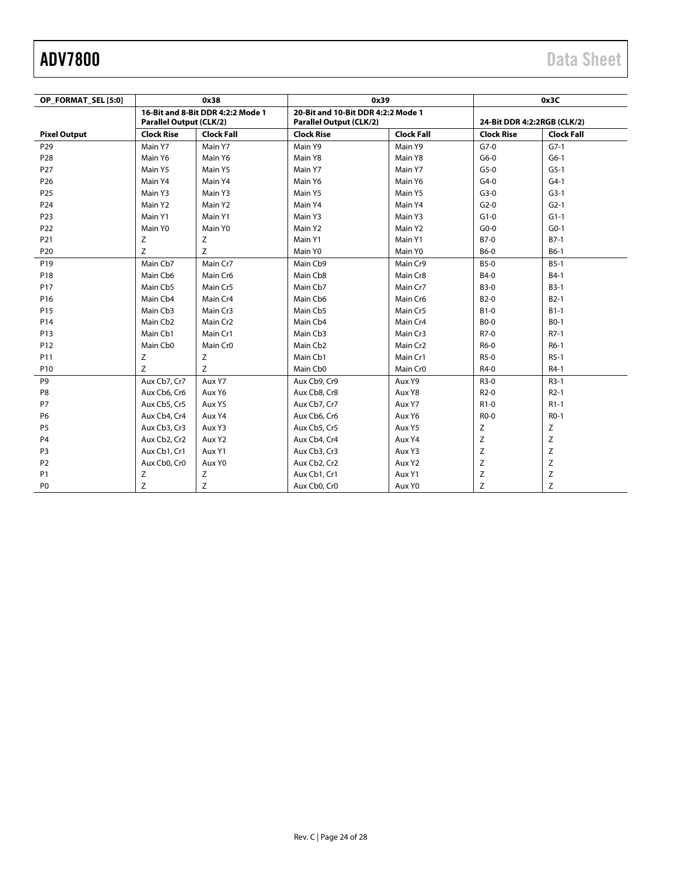| OP FORMAT SEL [5:0] |                                                                     | 0x38                 | 0x39                                                                 |                      |                             | 0x3C              |
|---------------------|---------------------------------------------------------------------|----------------------|----------------------------------------------------------------------|----------------------|-----------------------------|-------------------|
|                     | 16-Bit and 8-Bit DDR 4:2:2 Mode 1<br><b>Parallel Output (CLK/2)</b> |                      | 20-Bit and 10-Bit DDR 4:2:2 Mode 1<br><b>Parallel Output (CLK/2)</b> |                      | 24-Bit DDR 4:2:2RGB (CLK/2) |                   |
| <b>Pixel Output</b> | <b>Clock Rise</b>                                                   | <b>Clock Fall</b>    | <b>Clock Rise</b>                                                    | <b>Clock Fall</b>    | <b>Clock Rise</b>           | <b>Clock Fall</b> |
| P <sub>29</sub>     | Main Y7                                                             | Main Y7              | Main Y9                                                              | Main Y9              | $G7-0$                      | $G7-1$            |
| P28                 | Main Y6                                                             | Main Y6              | Main Y8                                                              | Main Y8              | $G6-0$                      | $G6-1$            |
| P27                 | Main Y5                                                             | Main Y5              | Main Y7                                                              | Main Y7              | $G5-0$                      | $G5-1$            |
| P <sub>26</sub>     | Main Y4                                                             | Main Y4              | Main Y6                                                              | Main Y6              | $G4-0$                      | $G4-1$            |
| P <sub>25</sub>     | Main Y3                                                             | Main Y3              | Main Y5                                                              | Main Y5              | $G3-0$                      | $G3-1$            |
| P24                 | Main Y2                                                             | Main Y2              | Main Y4                                                              | Main Y4              | $G2-0$                      | $G2-1$            |
| P23                 | Main Y1                                                             | Main Y1              | Main Y3                                                              | Main Y3              | $G1-0$                      | $G1-1$            |
| P22                 | Main Y0                                                             | Main Y0              | Main Y2                                                              | Main Y2              | $G0-0$                      | $G0-1$            |
| P21                 | Z                                                                   | Ζ                    | Main Y1                                                              | Main Y1              | $B7-0$                      | $B7-1$            |
| P20                 | Z                                                                   | Ζ                    | Main Y0                                                              | Main Y0              | <b>B6-0</b>                 | $B6-1$            |
| P <sub>19</sub>     | Main Cb7                                                            | Main Cr7             | Main Cb9                                                             | Main Cr9             | <b>B5-0</b>                 | $B5-1$            |
| P18                 | Main Cb6                                                            | Main Cr6             | Main Cb8                                                             | Main Cr8             | B4-0                        | $B4-1$            |
| P17                 | Main Cb5                                                            | Main Cr5             | Main Cb7                                                             | Main Cr7             | <b>B3-0</b>                 | $B3-1$            |
| P16                 | Main Cb4                                                            | Main Cr4             | Main Cb6                                                             | Main Cr6             | <b>B2-0</b>                 | $B2-1$            |
| P <sub>15</sub>     | Main Cb3                                                            | Main Cr3             | Main Cb5                                                             | Main Cr5             | $B1-0$                      | $B1-1$            |
| P14                 | Main Cb <sub>2</sub>                                                | Main Cr <sub>2</sub> | Main Cb4                                                             | Main Cr4             | <b>BO-0</b>                 | $B0-1$            |
| P13                 | Main Cb1                                                            | Main Cr1             | Main Cb3                                                             | Main Cr3             | R7-0                        | $R7-1$            |
| P12                 | Main Cb0                                                            | Main Cr <sub>0</sub> | Main Cb <sub>2</sub>                                                 | Main Cr <sub>2</sub> | R6-0                        | $R6-1$            |
| P11                 | Ζ                                                                   | Ζ                    | Main Cb1                                                             | Main Cr1             | $R5-0$                      | $R5-1$            |
| P <sub>10</sub>     | Z                                                                   | Z                    | Main Cb0                                                             | Main Cr <sub>0</sub> | R4-0                        | $R4-1$            |
| P9                  | Aux Cb7, Cr7                                                        | Aux Y7               | Aux Cb9, Cr9                                                         | Aux Y9               | $R3-0$                      | $R3-1$            |
| P8                  | Aux Cb6, Cr6                                                        | Aux Y6               | Aux Cb8, Cr8                                                         | Aux Y8               | $R2-0$                      | $R2-1$            |
| P7                  | Aux Cb5, Cr5                                                        | Aux Y5               | Aux Cb7, Cr7                                                         | Aux Y7               | $R1-0$                      | $R1-1$            |
| <b>P6</b>           | Aux Cb4, Cr4                                                        | Aux Y4               | Aux Cb6, Cr6                                                         | Aux Y6               | R <sub>0</sub> -0           | $RO-1$            |
| P <sub>5</sub>      | Aux Cb3, Cr3                                                        | Aux Y3               | Aux Cb5, Cr5                                                         | Aux Y5               | Ζ                           | Ζ                 |
| P <sub>4</sub>      | Aux Cb2, Cr2                                                        | Aux Y2               | Aux Cb4, Cr4                                                         | Aux Y4               | Z                           | Z                 |
| P <sub>3</sub>      | Aux Cb1, Cr1                                                        | Aux Y1               | Aux Cb3, Cr3                                                         | Aux Y3               | Z                           | Z                 |
| P <sub>2</sub>      | Aux Cb0, Cr0                                                        | Aux Y0               | Aux Cb2, Cr2                                                         | Aux Y2               | Z                           | Z                 |
| P <sub>1</sub>      | Ζ                                                                   | Ζ                    | Aux Cb1, Cr1                                                         | Aux Y1               | Z                           | Z                 |
| P <sub>0</sub>      | Ζ                                                                   | Ζ                    | Aux Cb0, Cr0                                                         | Aux Y0               | Z                           | Z                 |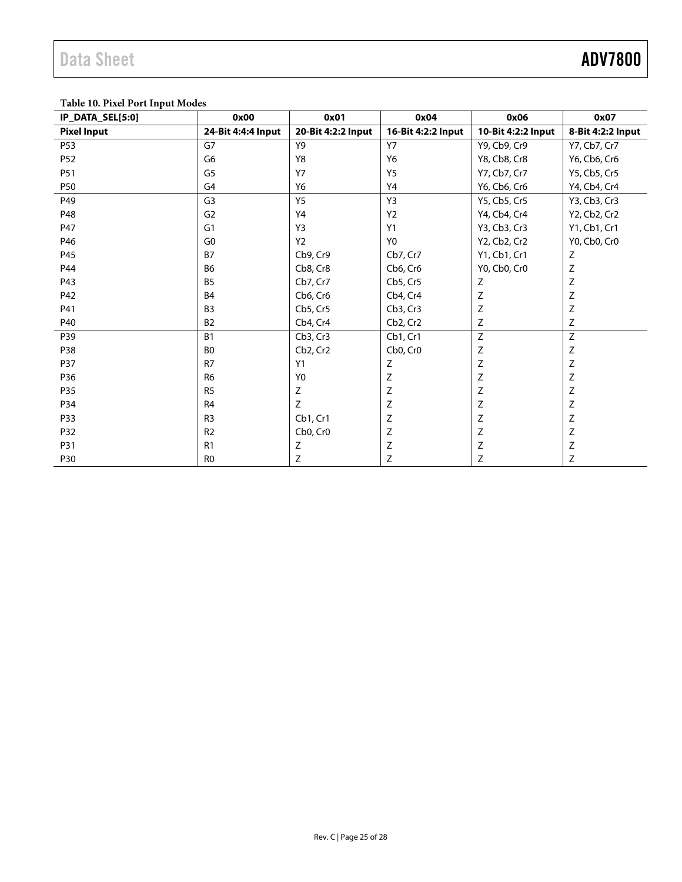### **Table 10. Pixel Port Input Modes**

| IP_DATA_SEL[5:0]   | 0x00               | 0x01                              | 0x04                              | 0x06                      | 0x07              |
|--------------------|--------------------|-----------------------------------|-----------------------------------|---------------------------|-------------------|
| <b>Pixel Input</b> | 24-Bit 4:4:4 Input | 20-Bit 4:2:2 Input                | 16-Bit 4:2:2 Input                | 10-Bit 4:2:2 Input        | 8-Bit 4:2:2 Input |
| P53                | G7                 | Y9                                | <b>Y7</b>                         | Y9, Cb9, Cr9              | Y7, Cb7, Cr7      |
| P <sub>52</sub>    | G6                 | Y8                                | Y6                                | Y8, Cb8, Cr8              | Y6, Cb6, Cr6      |
| P51                | G5                 | <b>Y7</b>                         | <b>Y5</b>                         | Y7, Cb7, Cr7              | Y5, Cb5, Cr5      |
| <b>P50</b>         | G <sub>4</sub>     | Y6                                | Y4                                | Y6, Cb6, Cr6              | Y4, Cb4, Cr4      |
| P49                | G <sub>3</sub>     | Y <sub>5</sub>                    | Y3                                | Y5, Cb5, Cr5              | Y3, Cb3, Cr3      |
| P48                | G <sub>2</sub>     | Y4                                | Y2                                | Y4, Cb4, Cr4              | Y2, Cb2, Cr2      |
| P47                | G <sub>1</sub>     | Y3                                | Y1                                | Y3, Cb3, Cr3              | Y1, Cb1, Cr1      |
| P46                | G <sub>0</sub>     | Y <sub>2</sub>                    | Y <sub>0</sub>                    | Y2, Cb2, Cr2              | Y0, Cb0, Cr0      |
| P45                | <b>B7</b>          | Cb9, Cr9                          | Cb7, Cr7                          | Y1, Cb1, Cr1              | Z                 |
| P44                | <b>B6</b>          | Cb8, Cr8                          | Cb6, Cr6                          | Y0, Cb0, Cr0              | Z                 |
| P43                | <b>B5</b>          | Cb7, Cr7                          | Cb5, Cr5                          | Z                         | $\mathsf Z$       |
| P42                | <b>B4</b>          | Cb6, Cr6                          | Cb4, Cr4                          | $\mathsf Z$               | $\mathsf Z$       |
| P41                | B <sub>3</sub>     | Cb5, Cr5                          | Cb3, Cr3                          | $\mathsf Z$               | Z                 |
| P40                | <b>B2</b>          | Cb4, Cr4                          | Cb <sub>2</sub> , Cr <sub>2</sub> | Z                         | Z                 |
| P39                | <b>B1</b>          | Cb3, Cr3                          | Cb1, Cr1                          | Z                         | Z                 |
| P38                | B <sub>0</sub>     | Cb <sub>2</sub> , Cr <sub>2</sub> | Cb0, Cr0                          | Ζ                         | $\mathsf Z$       |
| P37                | R7                 | Y1                                | Z                                 | $\mathsf Z$               | $\mathsf Z$       |
| P36                | R <sub>6</sub>     | Y <sub>0</sub>                    | Z                                 | $\mathsf Z$               | $\mathsf Z$       |
| P35                | R <sub>5</sub>     | Ζ                                 | $\mathsf Z$                       | $\mathsf Z$               | $\mathsf Z$       |
| P34                | R <sub>4</sub>     | Ζ                                 | Z                                 | Ζ                         | Z                 |
| P33                | R <sub>3</sub>     | Cb1, Cr1                          | Ζ                                 | Ζ                         | Z                 |
| P32                | R2                 | Cb0, Cr0                          | Z                                 | $\mathsf Z$               | $\mathsf Z$       |
| P31                | R1                 | Z                                 | Z                                 | $\ensuremath{\mathsf{Z}}$ | $\mathsf Z$       |
| P30                | R <sub>0</sub>     | Ζ                                 | Ζ                                 | Ζ                         | Z                 |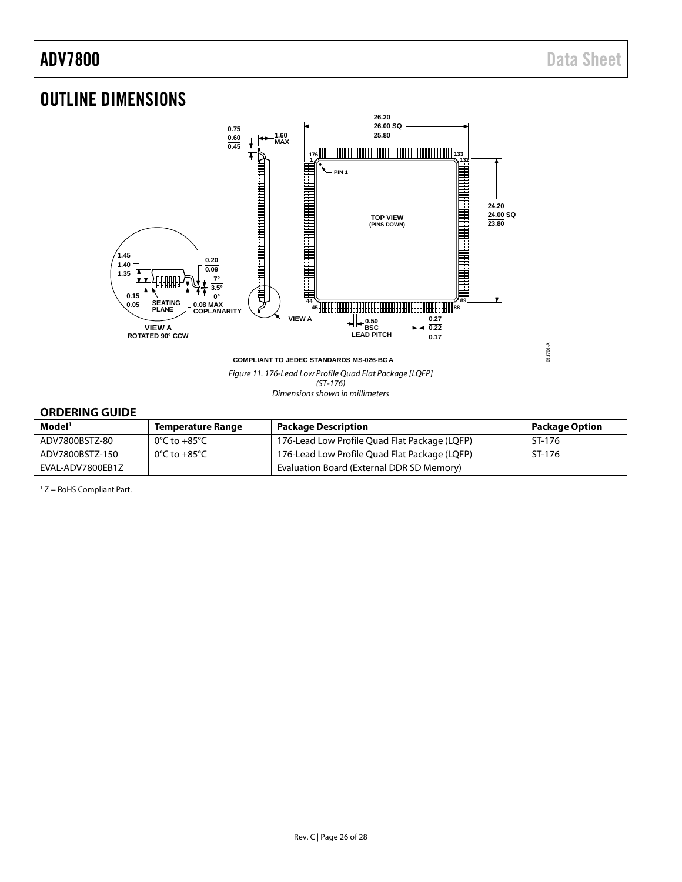## <span id="page-25-0"></span>OUTLINE DIMENSIONS



(ST-176) Dimensions shown in millimeters

### <span id="page-25-1"></span>**ORDERING GUIDE**

| Model <sup>1</sup> | <b>Temperature Range</b> | Package Description                           | <b>Package Option</b> |
|--------------------|--------------------------|-----------------------------------------------|-----------------------|
| ADV7800BSTZ-80     | 0°C to +85°C             | 176-Lead Low Profile Quad Flat Package (LQFP) | ST-176                |
| ADV7800BSTZ-150    | 0°C to +85°C             | 176-Lead Low Profile Quad Flat Package (LQFP) | ST-176                |
| EVAL-ADV7800EB1Z   |                          | Evaluation Board (External DDR SD Memory)     |                       |

<span id="page-25-2"></span> $1 Z =$  RoHS Compliant Part.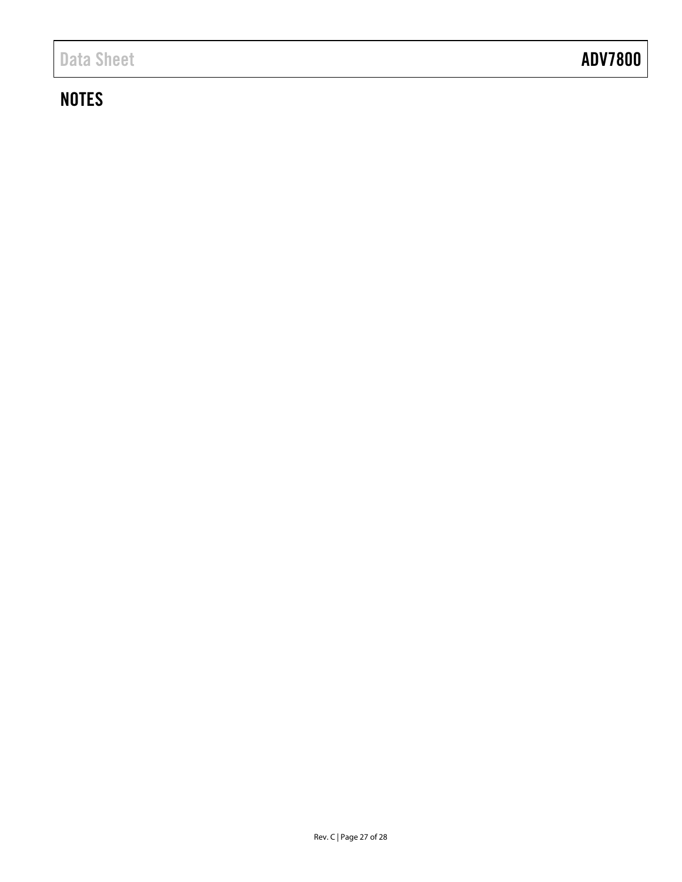## **NOTES**